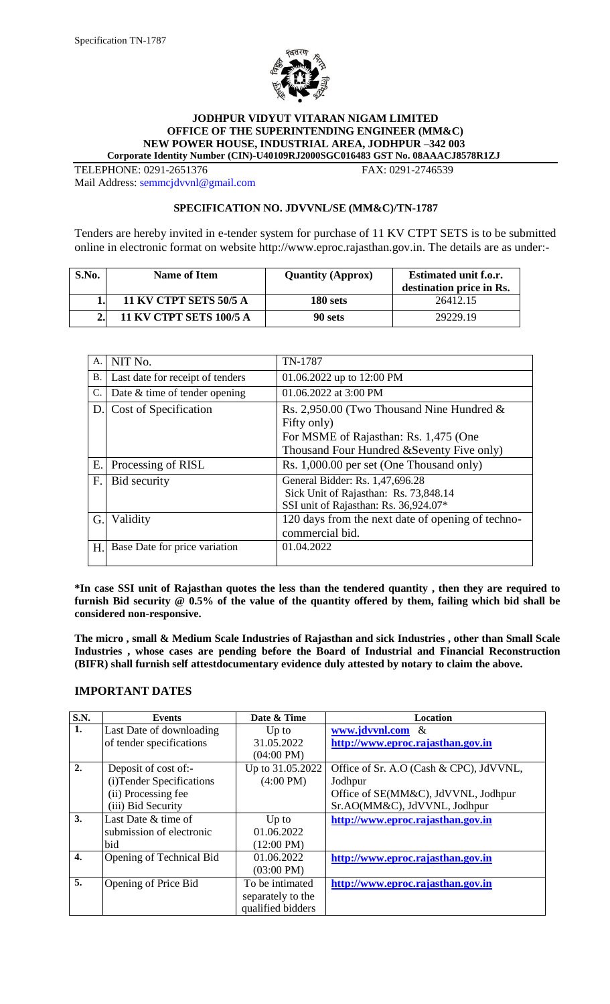

#### **JODHPUR VIDYUT VITARAN NIGAM LIMITED OFFICE OF THE SUPERINTENDING ENGINEER (MM&C) NEW POWER HOUSE, INDUSTRIAL AREA, JODHPUR –342 003 Corporate Identity Number (CIN)-U40109RJ2000SGC016483 GST No. 08AAACJ8578R1ZJ**

TELEPHONE: 0291-2651376 FAX: 0291-2746539 Mail Address: [semmcjdvvnl@gmail.com](mailto:semmcjdvvnl@gmail.com)

# **SPECIFICATION NO. JDVVNL/SE (MM&C)/TN-1787**

Tenders are hereby invited in e-tender system for purchase of 11 KV CTPT SETS is to be submitted online in electronic format on website http://www.eproc.rajasthan.gov.in. The details are as under:-

| S.No. | <b>Name of Item</b>            | <b>Quantity (Approx)</b> | <b>Estimated unit f.o.r.</b><br>destination price in Rs. |
|-------|--------------------------------|--------------------------|----------------------------------------------------------|
|       | <b>11 KV CTPT SETS 50/5 A</b>  | 180 sets                 | 26412.15                                                 |
|       | <b>11 KV CTPT SETS 100/5 A</b> | 90 sets                  | 29229.19                                                 |

| A.        | NIT No.                          | TN-1787                                           |
|-----------|----------------------------------|---------------------------------------------------|
| <b>B.</b> | Last date for receipt of tenders | 01.06.2022 up to 12:00 PM                         |
| C.        | Date & time of tender opening    | 01.06.2022 at 3:00 PM                             |
| D.        | Cost of Specification            | Rs. 2,950.00 (Two Thousand Nine Hundred $\&$      |
|           |                                  | Fifty only)                                       |
|           |                                  | For MSME of Rajasthan: Rs. 1,475 (One             |
|           |                                  | Thousand Four Hundred & Seventy Five only)        |
| Е.        | Processing of RISL               | Rs. 1,000.00 per set (One Thousand only)          |
| F.        | Bid security                     | General Bidder: Rs. 1,47,696.28                   |
|           |                                  | Sick Unit of Rajasthan: Rs. 73,848.14             |
|           |                                  | SSI unit of Rajasthan: Rs. 36,924.07*             |
| G.        | Validity                         | 120 days from the next date of opening of techno- |
|           |                                  | commercial bid.                                   |
| Η.        | Base Date for price variation    | 01.04.2022                                        |
|           |                                  |                                                   |

**\*In case SSI unit of Rajasthan quotes the less than the tendered quantity , then they are required to furnish Bid security @ 0.5% of the value of the quantity offered by them, failing which bid shall be considered non-responsive.**

**The micro , small & Medium Scale Industries of Rajasthan and sick Industries , other than Small Scale Industries , whose cases are pending before the Board of Industrial and Financial Reconstruction (BIFR) shall furnish self attestdocumentary evidence duly attested by notary to claim the above.**

# **IMPORTANT DATES**

| <b>S.N.</b>      | <b>Events</b>             | Date & Time          | <b>Location</b>                         |
|------------------|---------------------------|----------------------|-----------------------------------------|
| 1.               | Last Date of downloading  | $Up$ to              | www.jdvvnl.com &                        |
|                  | of tender specifications  | 31.05.2022           | http://www.eproc.rajasthan.gov.in       |
|                  |                           | $(04:00 \text{ PM})$ |                                         |
| 2.               | Deposit of cost of:-      | Up to 31.05.2022     | Office of Sr. A.O (Cash & CPC), JdVVNL, |
|                  | (i) Tender Specifications | $(4:00 \text{ PM})$  | Jodhpur                                 |
|                  | (ii) Processing fee       |                      | Office of SE(MM&C), JdVVNL, Jodhpur     |
|                  | (iii) Bid Security        |                      | Sr.AO(MM&C), JdVVNL, Jodhpur            |
| 3.               | Last Date & time of       | $Up$ to              | http://www.eproc.rajasthan.gov.in       |
|                  | submission of electronic  | 01.06.2022           |                                         |
|                  | bid                       | $(12:00 \text{ PM})$ |                                         |
| $\overline{4}$ . | Opening of Technical Bid  | 01.06.2022           | http://www.eproc.rajasthan.gov.in       |
|                  |                           | $(03:00 \text{ PM})$ |                                         |
| 5.               | Opening of Price Bid      | To be intimated      | http://www.eproc.rajasthan.gov.in       |
|                  |                           | separately to the    |                                         |
|                  |                           | qualified bidders    |                                         |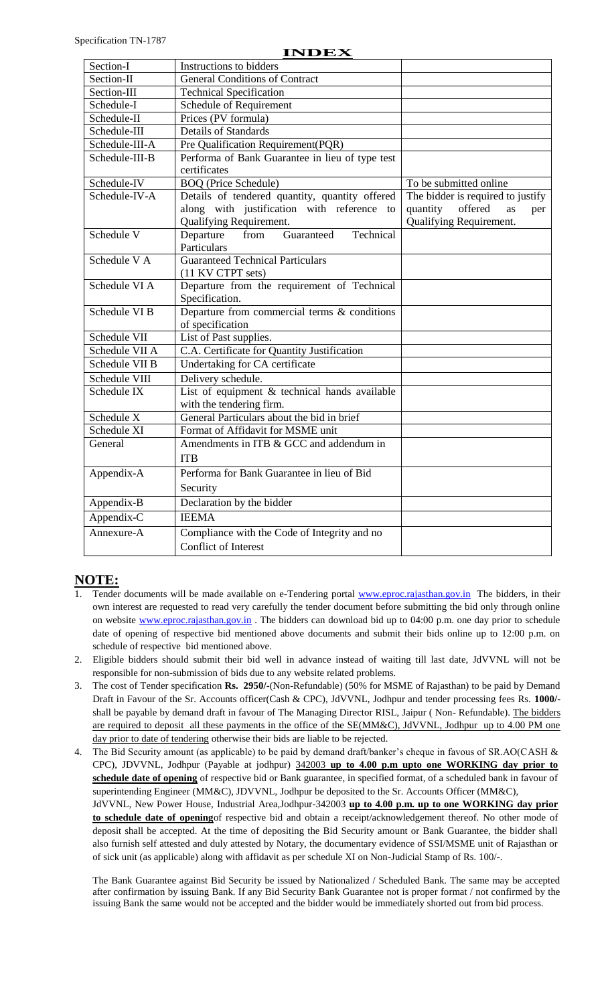#### **INDEX**

| Section-I      | Instructions to bidders                                          |                                         |
|----------------|------------------------------------------------------------------|-----------------------------------------|
| Section-II     | <b>General Conditions of Contract</b>                            |                                         |
| Section-III    | <b>Technical Specification</b>                                   |                                         |
| Schedule-I     | Schedule of Requirement                                          |                                         |
| Schedule-II    | Prices (PV formula)                                              |                                         |
| Schedule-III   | <b>Details of Standards</b>                                      |                                         |
| Schedule-III-A | Pre Qualification Requirement(PQR)                               |                                         |
| Schedule-III-B | Performa of Bank Guarantee in lieu of type test                  |                                         |
|                | certificates                                                     |                                         |
| Schedule-IV    | <b>BOQ</b> (Price Schedule)                                      | To be submitted online                  |
| Schedule-IV-A  | Details of tendered quantity, quantity offered                   | The bidder is required to justify       |
|                | along with justification with reference to                       | offered<br>quantity<br><b>as</b><br>per |
|                | Qualifying Requirement.                                          | Qualifying Requirement.                 |
| Schedule V     | Departure<br>Guaranteed<br>Technical<br>from                     |                                         |
| Schedule V A   | Particulars<br><b>Guaranteed Technical Particulars</b>           |                                         |
|                |                                                                  |                                         |
| Schedule VI A  | (11 KV CTPT sets)<br>Departure from the requirement of Technical |                                         |
|                | Specification.                                                   |                                         |
| Schedule VI B  | Departure from commercial terms $\&$ conditions                  |                                         |
|                | of specification                                                 |                                         |
| Schedule VII   | List of Past supplies.                                           |                                         |
| Schedule VII A | C.A. Certificate for Quantity Justification                      |                                         |
| Schedule VII B | Undertaking for CA certificate                                   |                                         |
| Schedule VIII  | Delivery schedule.                                               |                                         |
| Schedule IX    | List of equipment $&$ technical hands available                  |                                         |
|                | with the tendering firm.                                         |                                         |
| Schedule X     | General Particulars about the bid in brief                       |                                         |
| Schedule XI    | Format of Affidavit for MSME unit                                |                                         |
| General        | Amendments in ITB & GCC and addendum in                          |                                         |
|                | <b>ITB</b>                                                       |                                         |
| Appendix-A     | Performa for Bank Guarantee in lieu of Bid                       |                                         |
|                | Security                                                         |                                         |
| Appendix-B     | Declaration by the bidder                                        |                                         |
| Appendix-C     | <b>IEEMA</b>                                                     |                                         |
| Annexure-A     | Compliance with the Code of Integrity and no                     |                                         |
|                | <b>Conflict of Interest</b>                                      |                                         |

# **NOTE:**

- Tender documents will be made available on e-Tendering portal [www.eproc.rajasthan.gov.in](http://www.eproc.rajasthan.gov.in/) The bidders, in their own interest are requested to read very carefully the tender document before submitting the bid only through online on website [www.eproc.rajasthan.gov.in](http://www.eproc.rajasthan.gov.in/). The bidders can download bid up to 04:00 p.m. one day prior to schedule date of opening of respective bid mentioned above documents and submit their bids online up to 12:00 p.m. on schedule of respective bid mentioned above.
- 2. Eligible bidders should submit their bid well in advance instead of waiting till last date, JdVVNL will not be responsible for non-submission of bids due to any website related problems.
- 3. The cost of Tender specification **Rs. 2950/-**(Non-Refundable) (50% for MSME of Rajasthan) to be paid by Demand Draft in Favour of the Sr. Accounts officer(Cash & CPC), JdVVNL, Jodhpur and tender processing fees Rs. **1000/** shall be payable by demand draft in favour of The Managing Director RISL, Jaipur (Non-Refundable). The bidders are required to deposit all these payments in the office of the SE(MM&C), JdVVNL, Jodhpur up to 4.00 PM one day prior to date of tendering otherwise their bids are liable to be rejected.
- 4. The Bid Security amount (as applicable) to be paid by demand draft/banker's cheque in favous of SR.AO(CASH & CPC), JDVVNL, Jodhpur (Payable at jodhpur) 342003 **up to 4.00 p.m upto one WORKING day prior to schedule date of opening** of respective bid or Bank guarantee, in specified format, of a scheduled bank in favour of superintending Engineer (MM&C), JDVVNL, Jodhpur be deposited to the Sr. Accounts Officer (MM&C), JdVVNL, New Power House, Industrial Area,Jodhpur-342003 **up to 4.00 p.m. up to one WORKING day prior to schedule date of opening**of respective bid and obtain a receipt/acknowledgement thereof. No other mode of deposit shall be accepted. At the time of depositing the Bid Security amount or Bank Guarantee, the bidder shall also furnish self attested and duly attested by Notary, the documentary evidence of SSI/MSME unit of Rajasthan or of sick unit (as applicable) along with affidavit as per schedule XI on Non-Judicial Stamp of Rs. 100/-.

The Bank Guarantee against Bid Security be issued by Nationalized / Scheduled Bank. The same may be accepted after confirmation by issuing Bank. If any Bid Security Bank Guarantee not is proper format / not confirmed by the issuing Bank the same would not be accepted and the bidder would be immediately shorted out from bid process.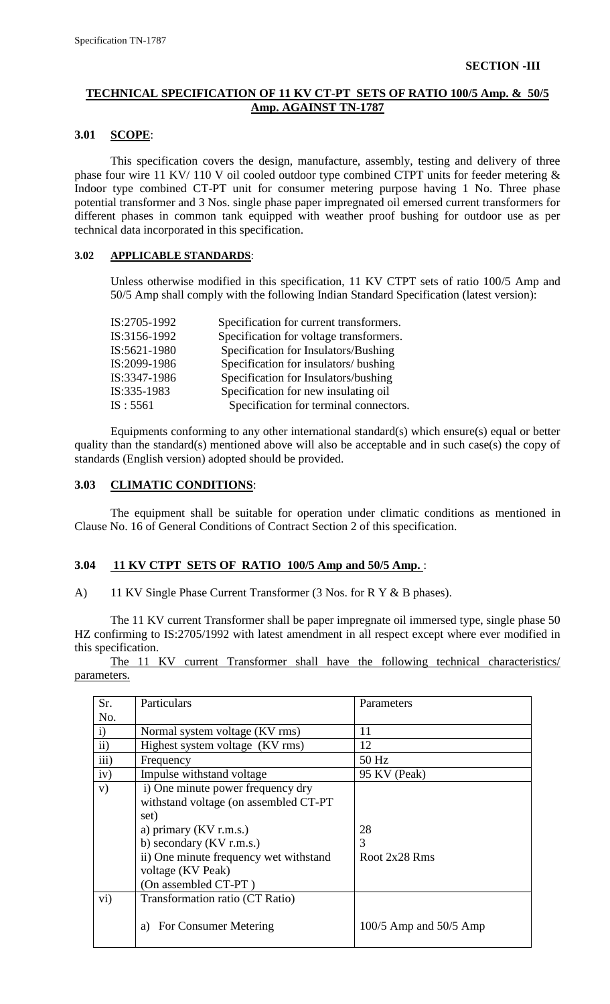# **TECHNICAL SPECIFICATION OF 11 KV CT-PT SETS OF RATIO 100/5 Amp. & 50/5 Amp. AGAINST TN-1787**

#### **3.01 SCOPE**:

This specification covers the design, manufacture, assembly, testing and delivery of three phase four wire 11 KV/ 110 V oil cooled outdoor type combined CTPT units for feeder metering & Indoor type combined CT-PT unit for consumer metering purpose having 1 No. Three phase potential transformer and 3 Nos. single phase paper impregnated oil emersed current transformers for different phases in common tank equipped with weather proof bushing for outdoor use as per technical data incorporated in this specification.

#### **3.02 APPLICABLE STANDARDS**:

Unless otherwise modified in this specification, 11 KV CTPT sets of ratio 100/5 Amp and 50/5 Amp shall comply with the following Indian Standard Specification (latest version):

| IS:2705-1992 | Specification for current transformers. |
|--------------|-----------------------------------------|
| IS:3156-1992 | Specification for voltage transformers. |
| IS:5621-1980 | Specification for Insulators/Bushing    |
| IS:2099-1986 | Specification for insulators/ bushing   |
| IS:3347-1986 | Specification for Insulators/bushing    |
| IS:335-1983  | Specification for new insulating oil    |
| IS: 5561     | Specification for terminal connectors.  |

Equipments conforming to any other international standard(s) which ensure(s) equal or better quality than the standard(s) mentioned above will also be acceptable and in such case(s) the copy of standards (English version) adopted should be provided.

# **3.03 CLIMATIC CONDITIONS**:

The equipment shall be suitable for operation under climatic conditions as mentioned in Clause No. 16 of General Conditions of Contract Section 2 of this specification.

# **3.04 11 KV CTPT SETS OF RATIO 100/5 Amp and 50/5 Amp.** :

A) 11 KV Single Phase Current Transformer (3 Nos. for R Y & B phases).

The 11 KV current Transformer shall be paper impregnate oil immersed type, single phase 50 HZ confirming to IS:2705/1992 with latest amendment in all respect except where ever modified in this specification.

The 11 KV current Transformer shall have the following technical characteristics/ parameters.

| Sr.          | Particulars                                                                                                                                                                                                                            | Parameters                 |
|--------------|----------------------------------------------------------------------------------------------------------------------------------------------------------------------------------------------------------------------------------------|----------------------------|
| No.          |                                                                                                                                                                                                                                        |                            |
| $\mathbf{i}$ | Normal system voltage (KV rms)                                                                                                                                                                                                         | 11                         |
| ii)          | Highest system voltage (KV rms)                                                                                                                                                                                                        | 12                         |
| iii)         | Frequency                                                                                                                                                                                                                              | 50 Hz                      |
| iv)          | Impulse withstand voltage                                                                                                                                                                                                              | 95 KV (Peak)               |
| V)           | i) One minute power frequency dry<br>withstand voltage (on assembled CT-PT<br>set)<br>a) primary $(KV \, r.m.s.)$<br>b) secondary $(KV r.m.s.)$<br>ii) One minute frequency wet withstand<br>voltage (KV Peak)<br>(On assembled CT-PT) | 28<br>3<br>Root 2x28 Rms   |
| $\rm vi)$    | Transformation ratio (CT Ratio)<br>For Consumer Metering<br>a)                                                                                                                                                                         | $100/5$ Amp and $50/5$ Amp |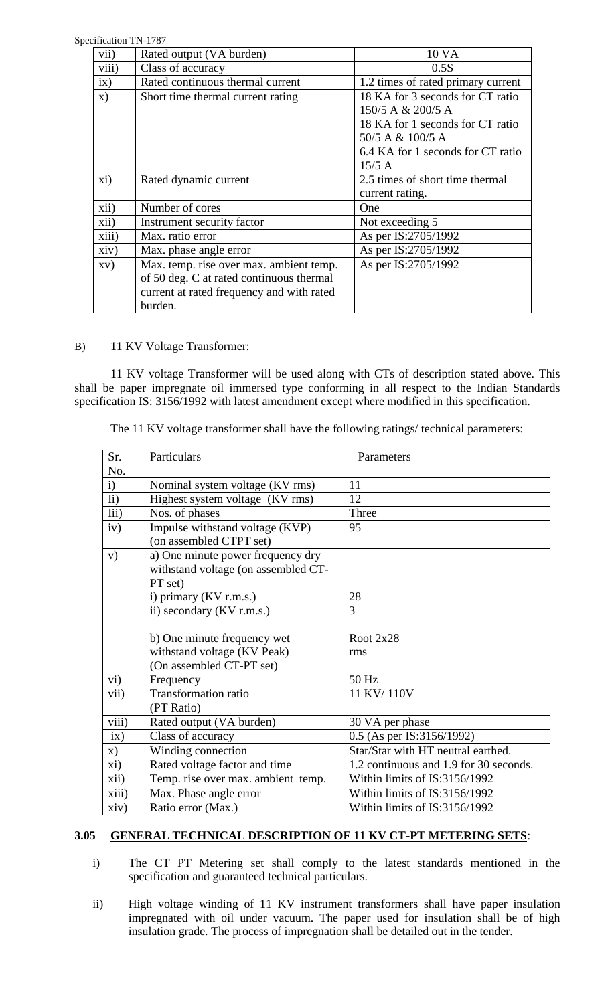Specification TN-1787

| CHICAUOII IN-I787 |                                           |                                    |
|-------------------|-------------------------------------------|------------------------------------|
| vii)              | Rated output (VA burden)                  | 10 VA                              |
| viii)             | Class of accuracy                         | 0.5S                               |
| ix)               | Rated continuous thermal current          | 1.2 times of rated primary current |
| $\mathbf{x})$     | Short time thermal current rating         | 18 KA for 3 seconds for CT ratio   |
|                   |                                           | 150/5 A & 200/5 A                  |
|                   |                                           | 18 KA for 1 seconds for CT ratio   |
|                   |                                           | 50/5 A & 100/5 A                   |
|                   |                                           | 6.4 KA for 1 seconds for CT ratio  |
|                   |                                           | $15/5$ A                           |
| xi)               | Rated dynamic current                     | 2.5 times of short time thermal    |
|                   |                                           | current rating.                    |
| xii)              | Number of cores                           | One                                |
| xii)              | Instrument security factor                | Not exceeding 5                    |
| xiii)             | Max. ratio error                          | As per IS:2705/1992                |
| xiv)              | Max. phase angle error                    | As per IS:2705/1992                |
| XV)               | Max. temp. rise over max. ambient temp.   | As per IS:2705/1992                |
|                   | of 50 deg. C at rated continuous thermal  |                                    |
|                   | current at rated frequency and with rated |                                    |
|                   | burden.                                   |                                    |

B) 11 KV Voltage Transformer:

11 KV voltage Transformer will be used along with CTs of description stated above. This shall be paper impregnate oil immersed type conforming in all respect to the Indian Standards specification IS: 3156/1992 with latest amendment except where modified in this specification.

The 11 KV voltage transformer shall have the following ratings/ technical parameters:

| Sr.            | Particulars                         | Parameters                             |
|----------------|-------------------------------------|----------------------------------------|
| No.            |                                     |                                        |
| i)             | Nominal system voltage (KV rms)     | 11                                     |
| $\overline{h}$ | Highest system voltage (KV rms)     | 12                                     |
| Iii)           | Nos. of phases                      | Three                                  |
| iv)            | Impulse withstand voltage (KVP)     | 95                                     |
|                | (on assembled CTPT set)             |                                        |
| V)             | a) One minute power frequency dry   |                                        |
|                | withstand voltage (on assembled CT- |                                        |
|                | PT set)                             |                                        |
|                | i) primary (KV r.m.s.)              | 28                                     |
|                | ii) secondary (KV r.m.s.)           | 3                                      |
|                |                                     |                                        |
|                | b) One minute frequency wet         | Root $2x28$                            |
|                | withstand voltage (KV Peak)         | rms                                    |
|                | (On assembled CT-PT set)            |                                        |
| vi)            | Frequency                           | 50 Hz                                  |
| vii)           | <b>Transformation ratio</b>         | 11 KV/110V                             |
|                | (PT Ratio)                          |                                        |
| viii)          | Rated output (VA burden)            | 30 VA per phase                        |
| ix)            | Class of accuracy                   | 0.5 (As per IS:3156/1992)              |
| $\mathbf{x})$  | Winding connection                  | Star/Star with HT neutral earthed.     |
| xi)            | Rated voltage factor and time       | 1.2 continuous and 1.9 for 30 seconds. |
| xii)           | Temp. rise over max. ambient temp.  | Within limits of IS:3156/1992          |
| xiii)          | Max. Phase angle error              | Within limits of IS:3156/1992          |
| xiv)           | Ratio error (Max.)                  | Within limits of IS:3156/1992          |

# **3.05 GENERAL TECHNICAL DESCRIPTION OF 11 KV CT-PT METERING SETS**:

- i) The CT PT Metering set shall comply to the latest standards mentioned in the specification and guaranteed technical particulars.
- ii) High voltage winding of 11 KV instrument transformers shall have paper insulation impregnated with oil under vacuum. The paper used for insulation shall be of high insulation grade. The process of impregnation shall be detailed out in the tender.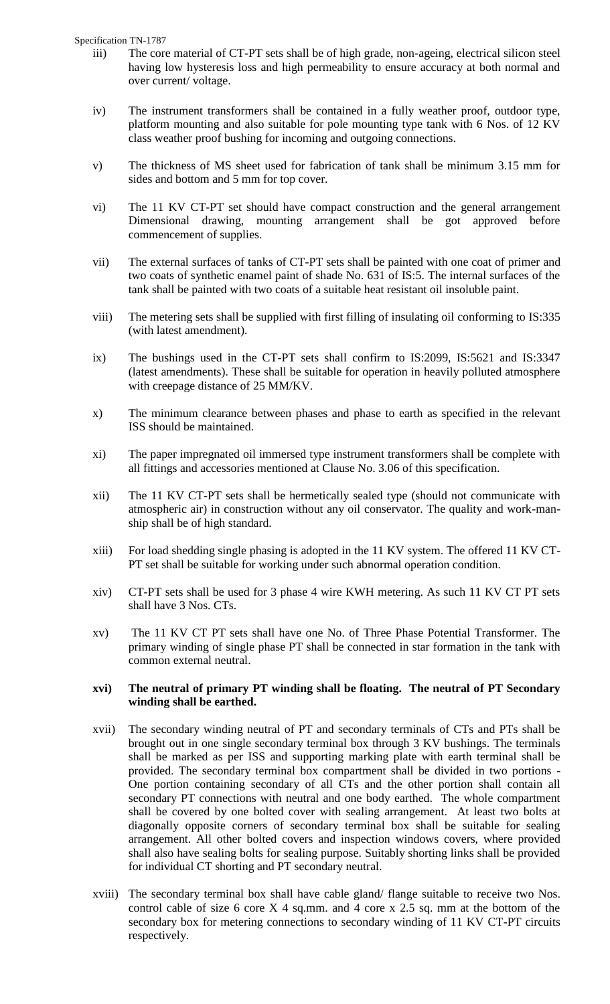Specification TN-1787

- iii) The core material of CT-PT sets shall be of high grade, non-ageing, electrical silicon steel having low hysteresis loss and high permeability to ensure accuracy at both normal and over current/ voltage.
- iv) The instrument transformers shall be contained in a fully weather proof, outdoor type, platform mounting and also suitable for pole mounting type tank with 6 Nos. of 12 KV class weather proof bushing for incoming and outgoing connections.
- v) The thickness of MS sheet used for fabrication of tank shall be minimum 3.15 mm for sides and bottom and 5 mm for top cover.
- vi) The 11 KV CT-PT set should have compact construction and the general arrangement Dimensional drawing, mounting arrangement shall be got approved before commencement of supplies.
- vii) The external surfaces of tanks of CT-PT sets shall be painted with one coat of primer and two coats of synthetic enamel paint of shade No. 631 of IS:5. The internal surfaces of the tank shall be painted with two coats of a suitable heat resistant oil insoluble paint.
- viii) The metering sets shall be supplied with first filling of insulating oil conforming to IS:335 (with latest amendment).
- ix) The bushings used in the CT-PT sets shall confirm to IS:2099, IS:5621 and IS:3347 (latest amendments). These shall be suitable for operation in heavily polluted atmosphere with creepage distance of 25 MM/KV.
- x) The minimum clearance between phases and phase to earth as specified in the relevant ISS should be maintained.
- xi) The paper impregnated oil immersed type instrument transformers shall be complete with all fittings and accessories mentioned at Clause No. 3.06 of this specification.
- xii) The 11 KV CT-PT sets shall be hermetically sealed type (should not communicate with atmospheric air) in construction without any oil conservator. The quality and work-manship shall be of high standard.
- xiii) For load shedding single phasing is adopted in the 11 KV system. The offered 11 KV CT-PT set shall be suitable for working under such abnormal operation condition.
- xiv) CT-PT sets shall be used for 3 phase 4 wire KWH metering. As such 11 KV CT PT sets shall have 3 Nos. CTs.
- xv) The 11 KV CT PT sets shall have one No. of Three Phase Potential Transformer. The primary winding of single phase PT shall be connected in star formation in the tank with common external neutral.

#### **xvi) The neutral of primary PT winding shall be floating. The neutral of PT Secondary winding shall be earthed.**

- xvii) The secondary winding neutral of PT and secondary terminals of CTs and PTs shall be brought out in one single secondary terminal box through 3 KV bushings. The terminals shall be marked as per ISS and supporting marking plate with earth terminal shall be provided. The secondary terminal box compartment shall be divided in two portions - One portion containing secondary of all CTs and the other portion shall contain all secondary PT connections with neutral and one body earthed. The whole compartment shall be covered by one bolted cover with sealing arrangement. At least two bolts at diagonally opposite corners of secondary terminal box shall be suitable for sealing arrangement. All other bolted covers and inspection windows covers, where provided shall also have sealing bolts for sealing purpose. Suitably shorting links shall be provided for individual CT shorting and PT secondary neutral.
- xviii) The secondary terminal box shall have cable gland/ flange suitable to receive two Nos. control cable of size 6 core X 4 sq.mm. and 4 core x 2.5 sq. mm at the bottom of the secondary box for metering connections to secondary winding of 11 KV CT-PT circuits respectively.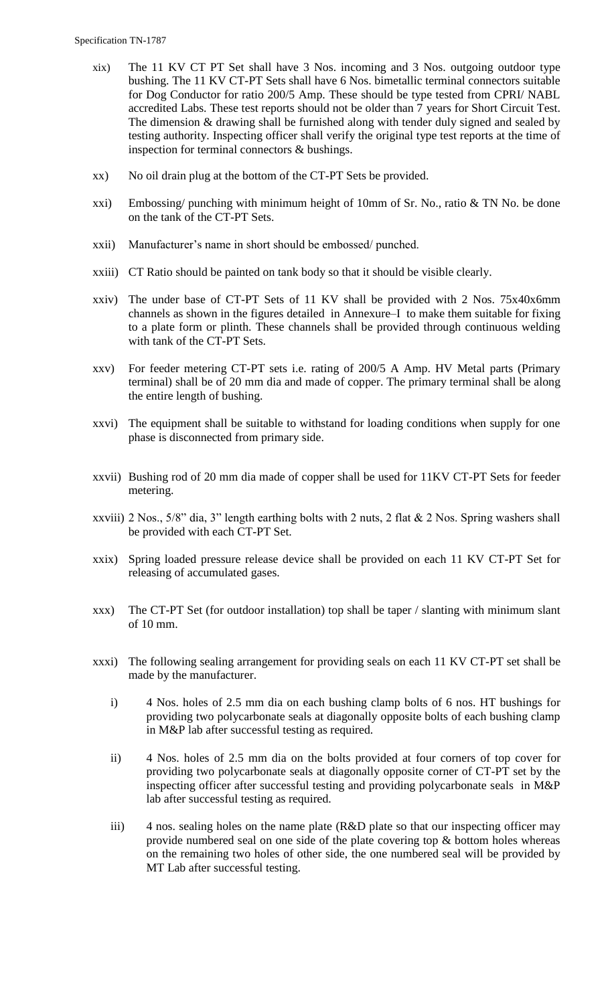- xix) The 11 KV CT PT Set shall have 3 Nos. incoming and 3 Nos. outgoing outdoor type bushing. The 11 KV CT-PT Sets shall have 6 Nos. bimetallic terminal connectors suitable for Dog Conductor for ratio 200/5 Amp. These should be type tested from CPRI/ NABL accredited Labs. These test reports should not be older than 7 years for Short Circuit Test. The dimension & drawing shall be furnished along with tender duly signed and sealed by testing authority. Inspecting officer shall verify the original type test reports at the time of inspection for terminal connectors & bushings.
- xx) No oil drain plug at the bottom of the CT-PT Sets be provided.
- xxi) Embossing/ punching with minimum height of 10mm of Sr. No., ratio & TN No. be done on the tank of the CT-PT Sets.
- xxii) Manufacturer"s name in short should be embossed/ punched.
- xxiii) CT Ratio should be painted on tank body so that it should be visible clearly.
- xxiv) The under base of CT-PT Sets of 11 KV shall be provided with 2 Nos. 75x40x6mm channels as shown in the figures detailed in Annexure–I to make them suitable for fixing to a plate form or plinth. These channels shall be provided through continuous welding with tank of the CT-PT Sets.
- xxv) For feeder metering CT-PT sets i.e. rating of 200/5 A Amp. HV Metal parts (Primary terminal) shall be of 20 mm dia and made of copper. The primary terminal shall be along the entire length of bushing.
- xxvi) The equipment shall be suitable to withstand for loading conditions when supply for one phase is disconnected from primary side.
- xxvii) Bushing rod of 20 mm dia made of copper shall be used for 11KV CT-PT Sets for feeder metering.
- xxviii) 2 Nos., 5/8" dia, 3" length earthing bolts with 2 nuts, 2 flat & 2 Nos. Spring washers shall be provided with each CT-PT Set.
- xxix) Spring loaded pressure release device shall be provided on each 11 KV CT-PT Set for releasing of accumulated gases.
- xxx) The CT-PT Set (for outdoor installation) top shall be taper / slanting with minimum slant of 10 mm.
- xxxi) The following sealing arrangement for providing seals on each 11 KV CT-PT set shall be made by the manufacturer.
	- i) 4 Nos. holes of 2.5 mm dia on each bushing clamp bolts of 6 nos. HT bushings for providing two polycarbonate seals at diagonally opposite bolts of each bushing clamp in M&P lab after successful testing as required.
	- ii) 4 Nos. holes of 2.5 mm dia on the bolts provided at four corners of top cover for providing two polycarbonate seals at diagonally opposite corner of CT-PT set by the inspecting officer after successful testing and providing polycarbonate seals in M&P lab after successful testing as required.
	- iii) 4 nos. sealing holes on the name plate (R&D plate so that our inspecting officer may provide numbered seal on one side of the plate covering top  $\&$  bottom holes whereas on the remaining two holes of other side, the one numbered seal will be provided by MT Lab after successful testing.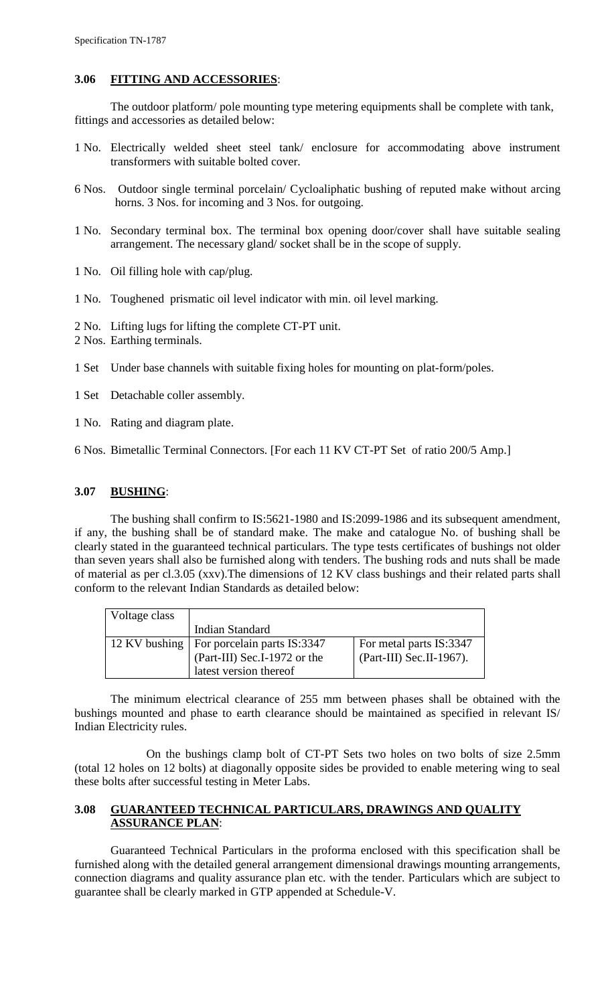# **3.06 FITTING AND ACCESSORIES**:

The outdoor platform/ pole mounting type metering equipments shall be complete with tank, fittings and accessories as detailed below:

- 1 No. Electrically welded sheet steel tank/ enclosure for accommodating above instrument transformers with suitable bolted cover.
- 6 Nos. Outdoor single terminal porcelain/ Cycloaliphatic bushing of reputed make without arcing horns. 3 Nos. for incoming and 3 Nos. for outgoing.
- 1 No. Secondary terminal box. The terminal box opening door/cover shall have suitable sealing arrangement. The necessary gland/ socket shall be in the scope of supply.
- 1 No. Oil filling hole with cap/plug.
- 1 No. Toughened prismatic oil level indicator with min. oil level marking.
- 2 No. Lifting lugs for lifting the complete CT-PT unit.
- 2 Nos. Earthing terminals.
- 1 Set Under base channels with suitable fixing holes for mounting on plat-form/poles.
- 1 Set Detachable coller assembly.
- 1 No. Rating and diagram plate.
- 6 Nos. Bimetallic Terminal Connectors. [For each 11 KV CT-PT Set of ratio 200/5 Amp.]

# **3.07 BUSHING**:

The bushing shall confirm to IS:5621-1980 and IS:2099-1986 and its subsequent amendment, if any, the bushing shall be of standard make. The make and catalogue No. of bushing shall be clearly stated in the guaranteed technical particulars. The type tests certificates of bushings not older than seven years shall also be furnished along with tenders. The bushing rods and nuts shall be made of material as per cl.3.05 (xxv).The dimensions of 12 KV class bushings and their related parts shall conform to the relevant Indian Standards as detailed below:

| Voltage class |                              |                          |
|---------------|------------------------------|--------------------------|
|               | <b>Indian Standard</b>       |                          |
| 12 KV bushing | For porcelain parts IS:3347  | For metal parts IS:3347  |
|               | (Part-III) Sec.I-1972 or the | (Part-III) Sec.II-1967). |
|               | latest version thereof       |                          |

The minimum electrical clearance of 255 mm between phases shall be obtained with the bushings mounted and phase to earth clearance should be maintained as specified in relevant IS/ Indian Electricity rules.

On the bushings clamp bolt of CT-PT Sets two holes on two bolts of size 2.5mm (total 12 holes on 12 bolts) at diagonally opposite sides be provided to enable metering wing to seal these bolts after successful testing in Meter Labs.

#### **3.08 GUARANTEED TECHNICAL PARTICULARS, DRAWINGS AND QUALITY ASSURANCE PLAN**:

Guaranteed Technical Particulars in the proforma enclosed with this specification shall be furnished along with the detailed general arrangement dimensional drawings mounting arrangements, connection diagrams and quality assurance plan etc. with the tender. Particulars which are subject to guarantee shall be clearly marked in GTP appended at Schedule-V.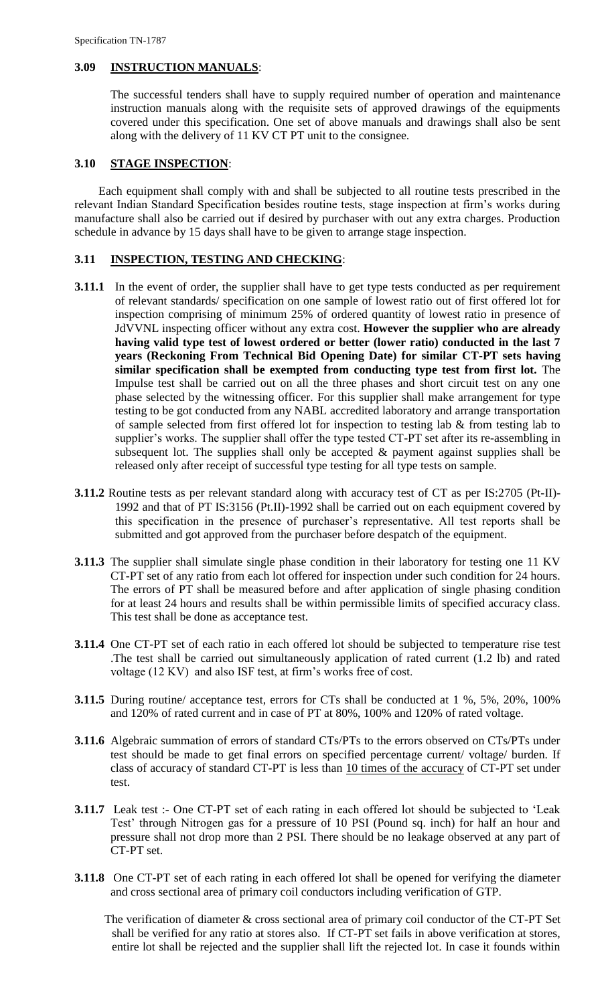#### **3.09 INSTRUCTION MANUALS**:

The successful tenders shall have to supply required number of operation and maintenance instruction manuals along with the requisite sets of approved drawings of the equipments covered under this specification. One set of above manuals and drawings shall also be sent along with the delivery of 11 KV CT PT unit to the consignee.

#### **3.10 STAGE INSPECTION**:

 Each equipment shall comply with and shall be subjected to all routine tests prescribed in the relevant Indian Standard Specification besides routine tests, stage inspection at firm"s works during manufacture shall also be carried out if desired by purchaser with out any extra charges. Production schedule in advance by 15 days shall have to be given to arrange stage inspection.

#### **3.11 INSPECTION, TESTING AND CHECKING**:

- **3.11.1** In the event of order, the supplier shall have to get type tests conducted as per requirement of relevant standards/ specification on one sample of lowest ratio out of first offered lot for inspection comprising of minimum 25% of ordered quantity of lowest ratio in presence of JdVVNL inspecting officer without any extra cost. **However the supplier who are already having valid type test of lowest ordered or better (lower ratio) conducted in the last 7 years (Reckoning From Technical Bid Opening Date) for similar CT-PT sets having similar specification shall be exempted from conducting type test from first lot.** The Impulse test shall be carried out on all the three phases and short circuit test on any one phase selected by the witnessing officer. For this supplier shall make arrangement for type testing to be got conducted from any NABL accredited laboratory and arrange transportation of sample selected from first offered lot for inspection to testing lab  $\&$  from testing lab to supplier's works. The supplier shall offer the type tested CT-PT set after its re-assembling in subsequent lot. The supplies shall only be accepted  $\&$  payment against supplies shall be released only after receipt of successful type testing for all type tests on sample.
- **3.11.2** Routine tests as per relevant standard along with accuracy test of CT as per IS:2705 (Pt-II)- 1992 and that of PT IS:3156 (Pt.II)-1992 shall be carried out on each equipment covered by this specification in the presence of purchaser"s representative. All test reports shall be submitted and got approved from the purchaser before despatch of the equipment.
- **3.11.3** The supplier shall simulate single phase condition in their laboratory for testing one 11 KV CT-PT set of any ratio from each lot offered for inspection under such condition for 24 hours. The errors of PT shall be measured before and after application of single phasing condition for at least 24 hours and results shall be within permissible limits of specified accuracy class. This test shall be done as acceptance test.
- **3.11.4** One CT-PT set of each ratio in each offered lot should be subjected to temperature rise test .The test shall be carried out simultaneously application of rated current (1.2 lb) and rated voltage (12 KV) and also ISF test, at firm"s works free of cost.
- **3.11.5** During routine/ acceptance test, errors for CTs shall be conducted at 1 %, 5%, 20%, 100% and 120% of rated current and in case of PT at 80%, 100% and 120% of rated voltage.
- **3.11.6** Algebraic summation of errors of standard CTs/PTs to the errors observed on CTs/PTs under test should be made to get final errors on specified percentage current/ voltage/ burden. If class of accuracy of standard CT-PT is less than 10 times of the accuracy of CT-PT set under test.
- **3.11.7** Leak test :- One CT-PT set of each rating in each offered lot should be subjected to 'Leak Test" through Nitrogen gas for a pressure of 10 PSI (Pound sq. inch) for half an hour and pressure shall not drop more than 2 PSI. There should be no leakage observed at any part of CT-PT set.
- **3.11.8** One CT-PT set of each rating in each offered lot shall be opened for verifying the diameter and cross sectional area of primary coil conductors including verification of GTP.

 The verification of diameter & cross sectional area of primary coil conductor of the CT-PT Set shall be verified for any ratio at stores also. If CT-PT set fails in above verification at stores, entire lot shall be rejected and the supplier shall lift the rejected lot. In case it founds within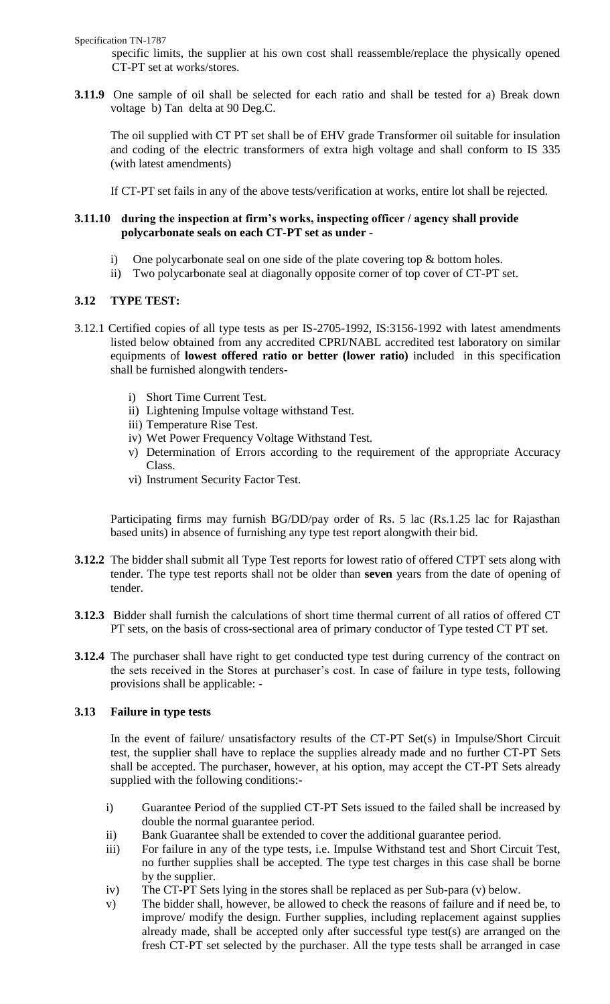Specification TN-1787

specific limits, the supplier at his own cost shall reassemble/replace the physically opened CT-PT set at works/stores.

**3.11.9** One sample of oil shall be selected for each ratio and shall be tested for a) Break down voltage b) Tan delta at 90 Deg.C.

The oil supplied with CT PT set shall be of EHV grade Transformer oil suitable for insulation and coding of the electric transformers of extra high voltage and shall conform to IS 335 (with latest amendments)

If CT-PT set fails in any of the above tests/verification at works, entire lot shall be rejected.

# **3.11.10 during the inspection at firm's works, inspecting officer / agency shall provide polycarbonate seals on each CT-PT set as under -**

- i) One polycarbonate seal on one side of the plate covering top & bottom holes.
- ii) Two polycarbonate seal at diagonally opposite corner of top cover of CT-PT set.

# **3.12 TYPE TEST:**

- 3.12.1 Certified copies of all type tests as per IS-2705-1992, IS:3156-1992 with latest amendments listed below obtained from any accredited CPRI/NABL accredited test laboratory on similar equipments of **lowest offered ratio or better (lower ratio)** included in this specification shall be furnished alongwith tenders
	- i) Short Time Current Test.
	- ii) Lightening Impulse voltage withstand Test.
	- iii) Temperature Rise Test.
	- iv) Wet Power Frequency Voltage Withstand Test.
	- v) Determination of Errors according to the requirement of the appropriate Accuracy Class.
	- vi) Instrument Security Factor Test.

Participating firms may furnish BG/DD/pay order of Rs. 5 lac (Rs.1.25 lac for Rajasthan based units) in absence of furnishing any type test report alongwith their bid.

- **3.12.2** The bidder shall submit all Type Test reports for lowest ratio of offered CTPT sets along with tender. The type test reports shall not be older than **seven** years from the date of opening of tender.
- **3.12.3** Bidder shall furnish the calculations of short time thermal current of all ratios of offered CT PT sets, on the basis of cross-sectional area of primary conductor of Type tested CT PT set.
- **3.12.4** The purchaser shall have right to get conducted type test during currency of the contract on the sets received in the Stores at purchaser's cost. In case of failure in type tests, following provisions shall be applicable: -

# **3.13 Failure in type tests**

In the event of failure/ unsatisfactory results of the CT-PT Set(s) in Impulse/Short Circuit test, the supplier shall have to replace the supplies already made and no further CT-PT Sets shall be accepted. The purchaser, however, at his option, may accept the CT-PT Sets already supplied with the following conditions:-

- i) Guarantee Period of the supplied CT-PT Sets issued to the failed shall be increased by double the normal guarantee period.
- ii) Bank Guarantee shall be extended to cover the additional guarantee period.
- iii) For failure in any of the type tests, i.e. Impulse Withstand test and Short Circuit Test, no further supplies shall be accepted. The type test charges in this case shall be borne by the supplier.
- iv) The CT-PT Sets lying in the stores shall be replaced as per Sub-para (v) below.
- v) The bidder shall, however, be allowed to check the reasons of failure and if need be, to improve/ modify the design. Further supplies, including replacement against supplies already made, shall be accepted only after successful type test(s) are arranged on the fresh CT-PT set selected by the purchaser. All the type tests shall be arranged in case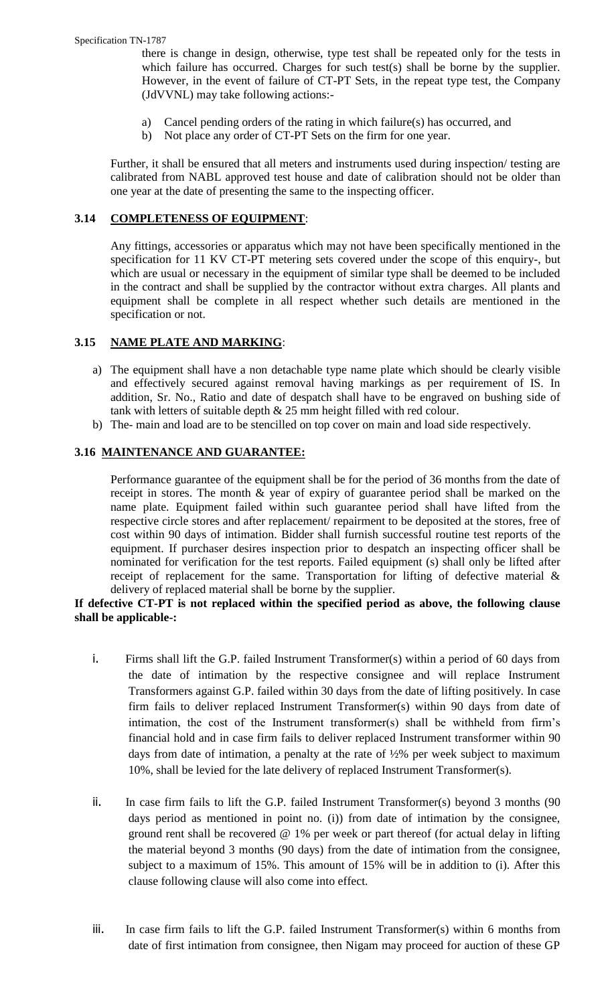there is change in design, otherwise, type test shall be repeated only for the tests in which failure has occurred. Charges for such test(s) shall be borne by the supplier. However, in the event of failure of CT-PT Sets, in the repeat type test, the Company (JdVVNL) may take following actions:-

- a) Cancel pending orders of the rating in which failure(s) has occurred, and
- b) Not place any order of CT-PT Sets on the firm for one year.

Further, it shall be ensured that all meters and instruments used during inspection/ testing are calibrated from NABL approved test house and date of calibration should not be older than one year at the date of presenting the same to the inspecting officer.

# **3.14 COMPLETENESS OF EQUIPMENT**:

Any fittings, accessories or apparatus which may not have been specifically mentioned in the specification for 11 KV CT-PT metering sets covered under the scope of this enquiry-, but which are usual or necessary in the equipment of similar type shall be deemed to be included in the contract and shall be supplied by the contractor without extra charges. All plants and equipment shall be complete in all respect whether such details are mentioned in the specification or not.

# **3.15 NAME PLATE AND MARKING**:

- a) The equipment shall have a non detachable type name plate which should be clearly visible and effectively secured against removal having markings as per requirement of IS. In addition, Sr. No., Ratio and date of despatch shall have to be engraved on bushing side of tank with letters of suitable depth & 25 mm height filled with red colour.
- b) The- main and load are to be stencilled on top cover on main and load side respectively.

# **3.16 MAINTENANCE AND GUARANTEE:**

Performance guarantee of the equipment shall be for the period of 36 months from the date of receipt in stores. The month & year of expiry of guarantee period shall be marked on the name plate. Equipment failed within such guarantee period shall have lifted from the respective circle stores and after replacement/ repairment to be deposited at the stores, free of cost within 90 days of intimation. Bidder shall furnish successful routine test reports of the equipment. If purchaser desires inspection prior to despatch an inspecting officer shall be nominated for verification for the test reports. Failed equipment (s) shall only be lifted after receipt of replacement for the same. Transportation for lifting of defective material & delivery of replaced material shall be borne by the supplier.

# **If defective CT-PT is not replaced within the specified period as above, the following clause shall be applicable-:**

- i. Firms shall lift the G.P. failed Instrument Transformer(s) within a period of 60 days from the date of intimation by the respective consignee and will replace Instrument Transformers against G.P. failed within 30 days from the date of lifting positively. In case firm fails to deliver replaced Instrument Transformer(s) within 90 days from date of intimation, the cost of the Instrument transformer(s) shall be withheld from firm"s financial hold and in case firm fails to deliver replaced Instrument transformer within 90 days from date of intimation, a penalty at the rate of ½% per week subject to maximum 10%, shall be levied for the late delivery of replaced Instrument Transformer(s).
- ii. In case firm fails to lift the G.P. failed Instrument Transformer(s) beyond 3 months (90 days period as mentioned in point no. (i)) from date of intimation by the consignee, ground rent shall be recovered @ 1% per week or part thereof (for actual delay in lifting the material beyond 3 months (90 days) from the date of intimation from the consignee, subject to a maximum of 15%. This amount of 15% will be in addition to (i). After this clause following clause will also come into effect.
- iii. In case firm fails to lift the G.P. failed Instrument Transformer(s) within 6 months from date of first intimation from consignee, then Nigam may proceed for auction of these GP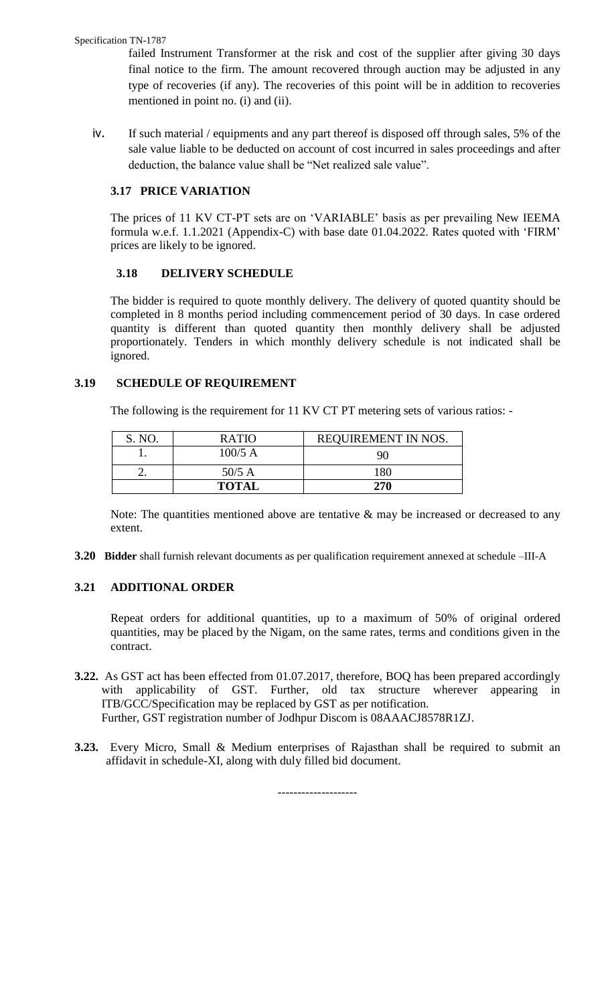#### Specification TN-1787

failed Instrument Transformer at the risk and cost of the supplier after giving 30 days final notice to the firm. The amount recovered through auction may be adjusted in any type of recoveries (if any). The recoveries of this point will be in addition to recoveries mentioned in point no. (i) and (ii).

iv. If such material / equipments and any part thereof is disposed off through sales, 5% of the sale value liable to be deducted on account of cost incurred in sales proceedings and after deduction, the balance value shall be "Net realized sale value".

# **3.17 PRICE VARIATION**

The prices of 11 KV CT-PT sets are on "VARIABLE" basis as per prevailing New IEEMA formula w.e.f. 1.1.2021 (Appendix-C) with base date 01.04.2022. Rates quoted with "FIRM" prices are likely to be ignored.

# **3.18 DELIVERY SCHEDULE**

The bidder is required to quote monthly delivery. The delivery of quoted quantity should be completed in 8 months period including commencement period of 30 days. In case ordered quantity is different than quoted quantity then monthly delivery shall be adjusted proportionately. Tenders in which monthly delivery schedule is not indicated shall be ignored.

# **3.19 SCHEDULE OF REQUIREMENT**

The following is the requirement for 11 KV CT PT metering sets of various ratios: -

| S. NO. | <b>RATIO</b> | REQUIREMENT IN NOS. |
|--------|--------------|---------------------|
|        | $100/5$ A    | 90                  |
| - -    | $50/5$ A     | 180                 |
|        | <b>TOTAL</b> | 270                 |

Note: The quantities mentioned above are tentative  $\&$  may be increased or decreased to any extent.

**3.20 Bidder** shall furnish relevant documents as per qualification requirement annexed at schedule –III-A

# **3.21 ADDITIONAL ORDER**

Repeat orders for additional quantities, up to a maximum of 50% of original ordered quantities, may be placed by the Nigam, on the same rates, terms and conditions given in the contract.

- **3.22.** As GST act has been effected from 01.07.2017, therefore, BOQ has been prepared accordingly with applicability of GST. Further, old tax structure wherever appearing in ITB/GCC/Specification may be replaced by GST as per notification. Further, GST registration number of Jodhpur Discom is 08AAACJ8578R1ZJ.
- **3.23.** Every Micro, Small & Medium enterprises of Rajasthan shall be required to submit an affidavit in schedule-XI, along with duly filled bid document.

--------------------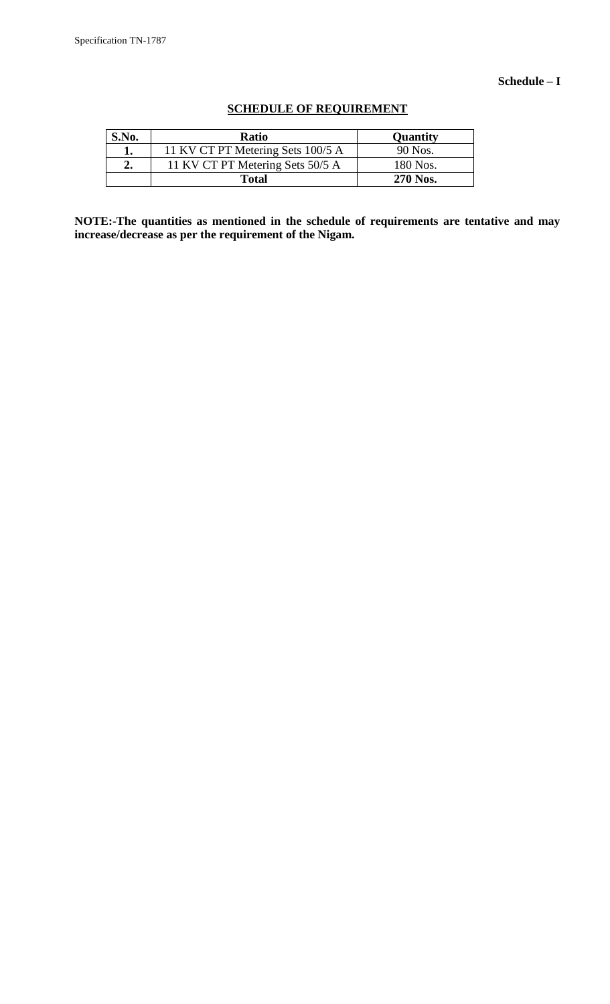### **Schedule – I**

| S.No. | <b>Ratio</b>                      | <b>Quantity</b> |
|-------|-----------------------------------|-----------------|
|       | 11 KV CT PT Metering Sets 100/5 A | 90 Nos.         |
| ۵.    | 11 KV CT PT Metering Sets 50/5 A  | 180 Nos.        |
|       | <b>Total</b>                      | 270 Nos.        |

# **SCHEDULE OF REQUIREMENT**

**NOTE:-The quantities as mentioned in the schedule of requirements are tentative and may increase/decrease as per the requirement of the Nigam.**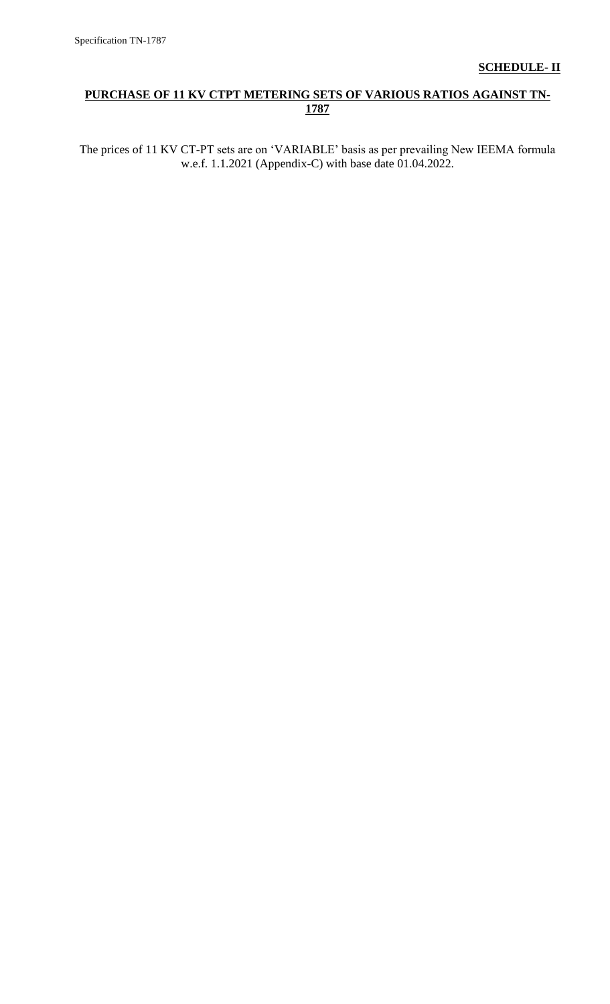# **PURCHASE OF 11 KV CTPT METERING SETS OF VARIOUS RATIOS AGAINST TN-1787**

The prices of 11 KV CT-PT sets are on "VARIABLE" basis as per prevailing New IEEMA formula w.e.f. 1.1.2021 (Appendix-C) with base date 01.04.2022.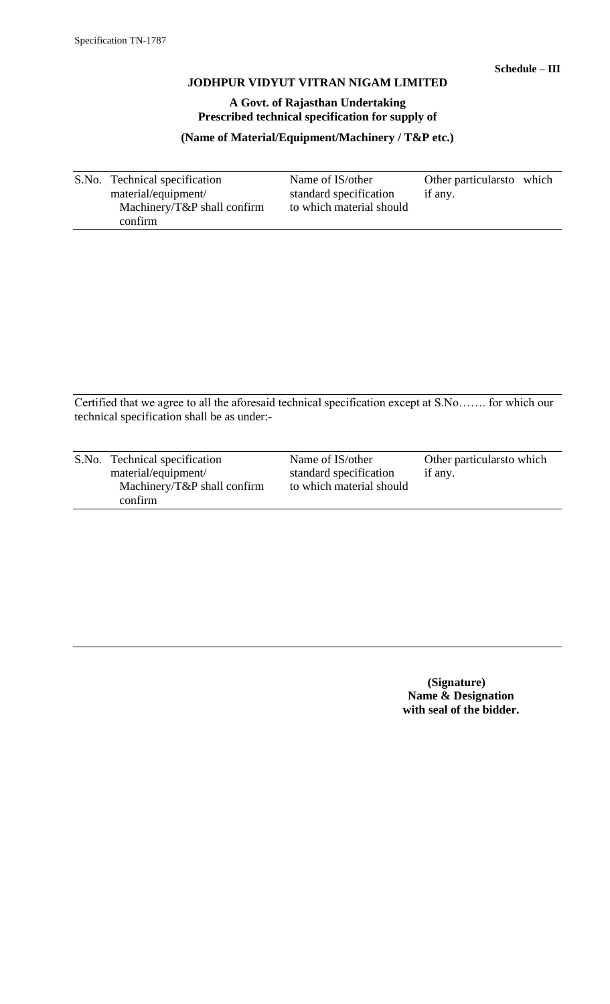# **A Govt. of Rajasthan Undertaking Prescribed technical specification for supply of**

**(Name of Material/Equipment/Machinery / T&P etc.)**

S.No. Technical specification Name of IS/other Other particularsto which material/equipment/ standard specification if any. standard specification if any. Machinery/T&P shall confirm to which material should confirm

Certified that we agree to all the aforesaid technical specification except at S.No……. for which our technical specification shall be as under:-

| S.No. Technical specification              | Name of IS/other         | Other particulars to which |
|--------------------------------------------|--------------------------|----------------------------|
| material/equipment/                        | standard specification   | if any.                    |
| Machinery/ $T\&P$ shall confirm<br>confirm | to which material should |                            |

 **(Signature) Name & Designation with seal of the bidder.**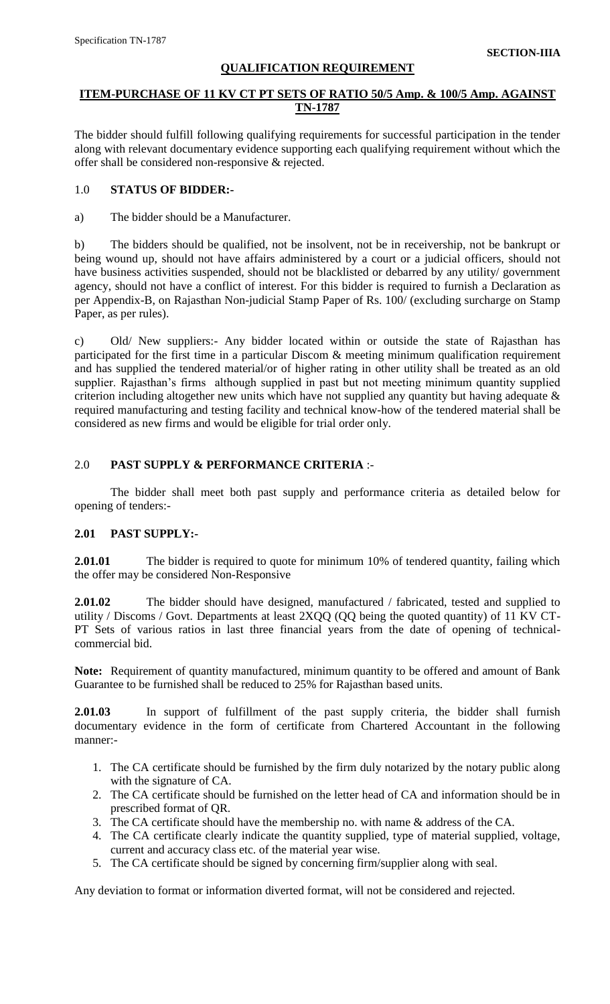# **QUALIFICATION REQUIREMENT**

# **ITEM-PURCHASE OF 11 KV CT PT SETS OF RATIO 50/5 Amp. & 100/5 Amp. AGAINST TN-1787**

The bidder should fulfill following qualifying requirements for successful participation in the tender along with relevant documentary evidence supporting each qualifying requirement without which the offer shall be considered non-responsive & rejected.

# 1.0 **STATUS OF BIDDER:-**

a) The bidder should be a Manufacturer.

b) The bidders should be qualified, not be insolvent, not be in receivership, not be bankrupt or being wound up, should not have affairs administered by a court or a judicial officers, should not have business activities suspended, should not be blacklisted or debarred by any utility/ government agency, should not have a conflict of interest. For this bidder is required to furnish a Declaration as per Appendix-B, on Rajasthan Non-judicial Stamp Paper of Rs. 100/ (excluding surcharge on Stamp Paper, as per rules).

c) Old/ New suppliers:- Any bidder located within or outside the state of Rajasthan has participated for the first time in a particular Discom & meeting minimum qualification requirement and has supplied the tendered material/or of higher rating in other utility shall be treated as an old supplier. Rajasthan's firms although supplied in past but not meeting minimum quantity supplied criterion including altogether new units which have not supplied any quantity but having adequate & required manufacturing and testing facility and technical know-how of the tendered material shall be considered as new firms and would be eligible for trial order only.

# 2.0 **PAST SUPPLY & PERFORMANCE CRITERIA** :-

The bidder shall meet both past supply and performance criteria as detailed below for opening of tenders:-

# **2.01 PAST SUPPLY:-**

**2.01.01** The bidder is required to quote for minimum 10% of tendered quantity, failing which the offer may be considered Non-Responsive

**2.01.02** The bidder should have designed, manufactured / fabricated, tested and supplied to utility / Discoms / Govt. Departments at least 2XQQ (QQ being the quoted quantity) of 11 KV CT-PT Sets of various ratios in last three financial years from the date of opening of technicalcommercial bid.

**Note:** Requirement of quantity manufactured, minimum quantity to be offered and amount of Bank Guarantee to be furnished shall be reduced to 25% for Rajasthan based units.

**2.01.03** In support of fulfillment of the past supply criteria, the bidder shall furnish documentary evidence in the form of certificate from Chartered Accountant in the following manner:-

- 1. The CA certificate should be furnished by the firm duly notarized by the notary public along with the signature of CA.
- 2. The CA certificate should be furnished on the letter head of CA and information should be in prescribed format of QR.
- 3. The CA certificate should have the membership no. with name & address of the CA.
- 4. The CA certificate clearly indicate the quantity supplied, type of material supplied, voltage, current and accuracy class etc. of the material year wise.
- 5. The CA certificate should be signed by concerning firm/supplier along with seal.

Any deviation to format or information diverted format, will not be considered and rejected.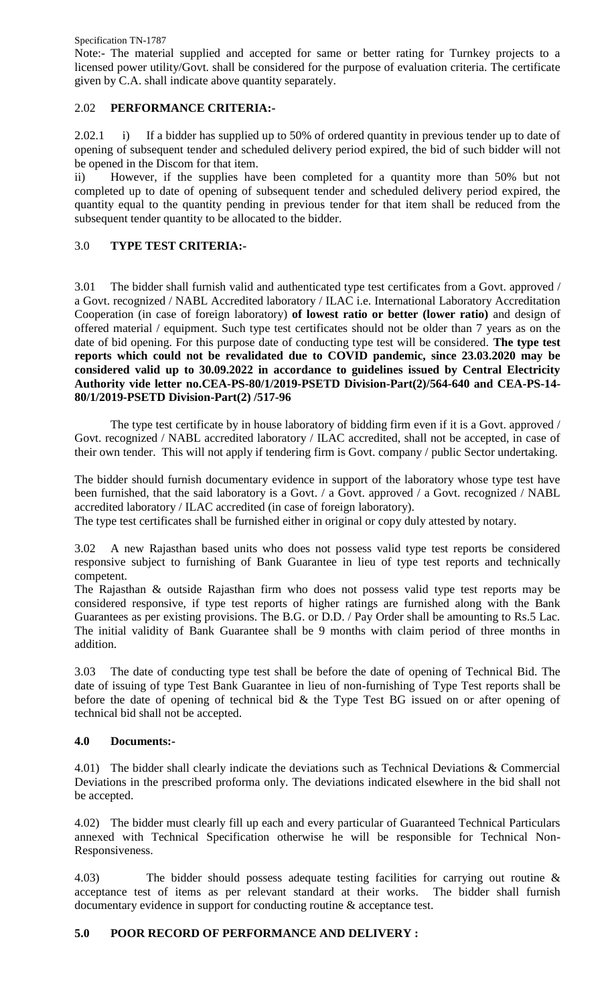Specification TN-1787

Note:- The material supplied and accepted for same or better rating for Turnkey projects to a licensed power utility/Govt. shall be considered for the purpose of evaluation criteria. The certificate given by C.A. shall indicate above quantity separately.

# 2.02 **PERFORMANCE CRITERIA:-**

2.02.1 i) If a bidder has supplied up to 50% of ordered quantity in previous tender up to date of opening of subsequent tender and scheduled delivery period expired, the bid of such bidder will not be opened in the Discom for that item.

ii) However, if the supplies have been completed for a quantity more than 50% but not completed up to date of opening of subsequent tender and scheduled delivery period expired, the quantity equal to the quantity pending in previous tender for that item shall be reduced from the subsequent tender quantity to be allocated to the bidder.

# 3.0 **TYPE TEST CRITERIA:-**

3.01 The bidder shall furnish valid and authenticated type test certificates from a Govt. approved / a Govt. recognized / NABL Accredited laboratory / ILAC i.e. International Laboratory Accreditation Cooperation (in case of foreign laboratory) **of lowest ratio or better (lower ratio)** and design of offered material / equipment. Such type test certificates should not be older than 7 years as on the date of bid opening. For this purpose date of conducting type test will be considered. **The type test reports which could not be revalidated due to COVID pandemic, since 23.03.2020 may be considered valid up to 30.09.2022 in accordance to guidelines issued by Central Electricity Authority vide letter no.CEA-PS-80/1/2019-PSETD Division-Part(2)/564-640 and CEA-PS-14- 80/1/2019-PSETD Division-Part(2) /517-96**

The type test certificate by in house laboratory of bidding firm even if it is a Govt. approved / Govt. recognized / NABL accredited laboratory / ILAC accredited, shall not be accepted, in case of their own tender. This will not apply if tendering firm is Govt. company / public Sector undertaking.

The bidder should furnish documentary evidence in support of the laboratory whose type test have been furnished, that the said laboratory is a Govt. / a Govt. approved / a Govt. recognized / NABL accredited laboratory / ILAC accredited (in case of foreign laboratory).

The type test certificates shall be furnished either in original or copy duly attested by notary.

3.02 A new Rajasthan based units who does not possess valid type test reports be considered responsive subject to furnishing of Bank Guarantee in lieu of type test reports and technically competent.

The Rajasthan & outside Rajasthan firm who does not possess valid type test reports may be considered responsive, if type test reports of higher ratings are furnished along with the Bank Guarantees as per existing provisions. The B.G. or D.D. / Pay Order shall be amounting to Rs.5 Lac. The initial validity of Bank Guarantee shall be 9 months with claim period of three months in addition.

3.03 The date of conducting type test shall be before the date of opening of Technical Bid. The date of issuing of type Test Bank Guarantee in lieu of non-furnishing of Type Test reports shall be before the date of opening of technical bid & the Type Test BG issued on or after opening of technical bid shall not be accepted.

# **4.0 Documents:-**

4.01) The bidder shall clearly indicate the deviations such as Technical Deviations & Commercial Deviations in the prescribed proforma only. The deviations indicated elsewhere in the bid shall not be accepted.

4.02) The bidder must clearly fill up each and every particular of Guaranteed Technical Particulars annexed with Technical Specification otherwise he will be responsible for Technical Non-Responsiveness.

4.03) The bidder should possess adequate testing facilities for carrying out routine & acceptance test of items as per relevant standard at their works. The bidder shall furnish documentary evidence in support for conducting routine & acceptance test.

# **5.0 POOR RECORD OF PERFORMANCE AND DELIVERY :**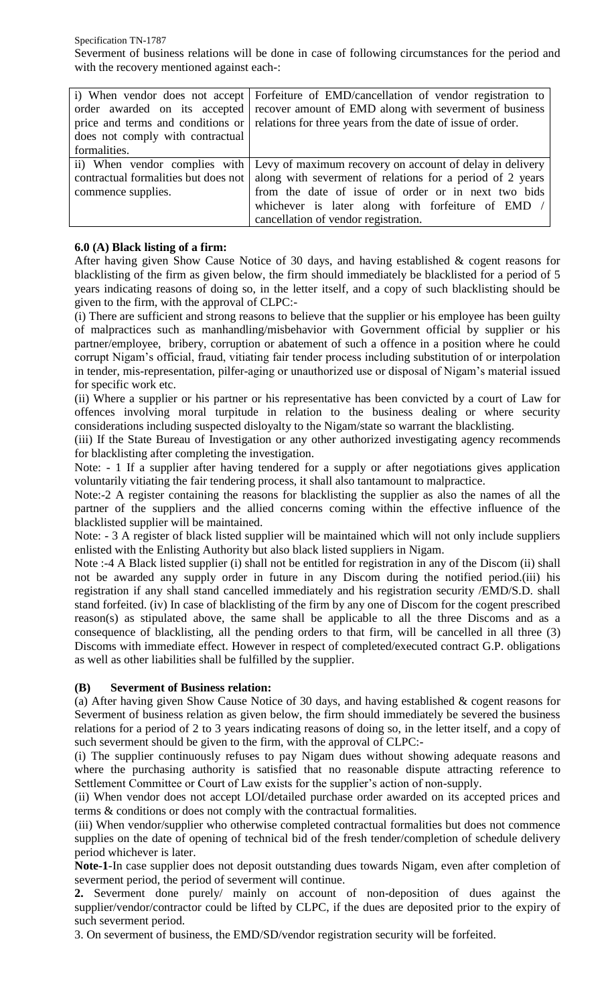Specification TN-1787 Severment of business relations will be done in case of following circumstances for the period and with the recovery mentioned against each-:

|                                      | i) When vendor does not accept Forfeiture of EMD/cancellation of vendor registration to |
|--------------------------------------|-----------------------------------------------------------------------------------------|
| order awarded on its accepted        | recover amount of EMD along with severment of business                                  |
| price and terms and conditions or    | relations for three years from the date of issue of order.                              |
| does not comply with contractual     |                                                                                         |
| formalities.                         |                                                                                         |
|                                      | ii) When vendor complies with Levy of maximum recovery on account of delay in delivery  |
| contractual formalities but does not | along with severment of relations for a period of 2 years                               |
| commence supplies.                   | from the date of issue of order or in next two bids                                     |
|                                      | whichever is later along with forfeiture of EMD /                                       |
|                                      | cancellation of vendor registration.                                                    |

# **6.0 (A) Black listing of a firm:**

After having given Show Cause Notice of 30 days, and having established & cogent reasons for blacklisting of the firm as given below, the firm should immediately be blacklisted for a period of 5 years indicating reasons of doing so, in the letter itself, and a copy of such blacklisting should be given to the firm, with the approval of CLPC:-

(i) There are sufficient and strong reasons to believe that the supplier or his employee has been guilty of malpractices such as manhandling/misbehavior with Government official by supplier or his partner/employee, bribery, corruption or abatement of such a offence in a position where he could corrupt Nigam"s official, fraud, vitiating fair tender process including substitution of or interpolation in tender, mis-representation, pilfer-aging or unauthorized use or disposal of Nigam"s material issued for specific work etc.

(ii) Where a supplier or his partner or his representative has been convicted by a court of Law for offences involving moral turpitude in relation to the business dealing or where security considerations including suspected disloyalty to the Nigam/state so warrant the blacklisting.

(iii) If the State Bureau of Investigation or any other authorized investigating agency recommends for blacklisting after completing the investigation.

Note: - 1 If a supplier after having tendered for a supply or after negotiations gives application voluntarily vitiating the fair tendering process, it shall also tantamount to malpractice.

Note:-2 A register containing the reasons for blacklisting the supplier as also the names of all the partner of the suppliers and the allied concerns coming within the effective influence of the blacklisted supplier will be maintained.

Note: - 3 A register of black listed supplier will be maintained which will not only include suppliers enlisted with the Enlisting Authority but also black listed suppliers in Nigam.

Note :-4 A Black listed supplier (i) shall not be entitled for registration in any of the Discom (ii) shall not be awarded any supply order in future in any Discom during the notified period.(iii) his registration if any shall stand cancelled immediately and his registration security /EMD/S.D. shall stand forfeited. (iv) In case of blacklisting of the firm by any one of Discom for the cogent prescribed reason(s) as stipulated above, the same shall be applicable to all the three Discoms and as a consequence of blacklisting, all the pending orders to that firm, will be cancelled in all three (3) Discoms with immediate effect. However in respect of completed/executed contract G.P. obligations as well as other liabilities shall be fulfilled by the supplier.

# **(B) Severment of Business relation:**

(a) After having given Show Cause Notice of 30 days, and having established & cogent reasons for Severment of business relation as given below, the firm should immediately be severed the business relations for a period of 2 to 3 years indicating reasons of doing so, in the letter itself, and a copy of such severment should be given to the firm, with the approval of CLPC:-

(i) The supplier continuously refuses to pay Nigam dues without showing adequate reasons and where the purchasing authority is satisfied that no reasonable dispute attracting reference to Settlement Committee or Court of Law exists for the supplier's action of non-supply.

(ii) When vendor does not accept LOI/detailed purchase order awarded on its accepted prices and terms & conditions or does not comply with the contractual formalities.

(iii) When vendor/supplier who otherwise completed contractual formalities but does not commence supplies on the date of opening of technical bid of the fresh tender/completion of schedule delivery period whichever is later.

**Note-1**-In case supplier does not deposit outstanding dues towards Nigam, even after completion of severment period, the period of severment will continue.

**2.** Severment done purely/ mainly on account of non-deposition of dues against the supplier/vendor/contractor could be lifted by CLPC, if the dues are deposited prior to the expiry of such severment period.

3. On severment of business, the EMD/SD/vendor registration security will be forfeited.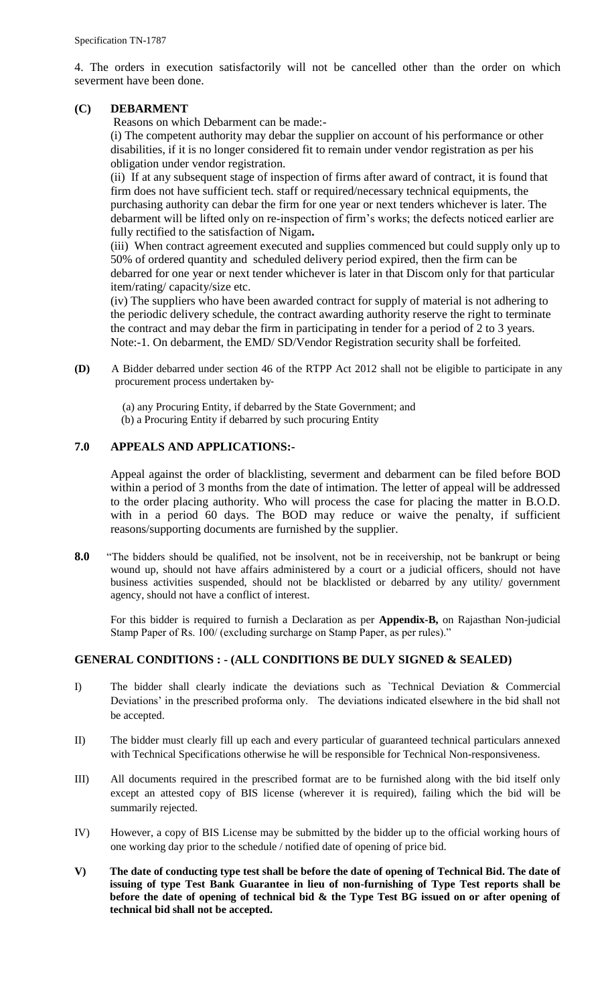4. The orders in execution satisfactorily will not be cancelled other than the order on which severment have been done.

# **(C) DEBARMENT**

Reasons on which Debarment can be made:-

(i) The competent authority may debar the supplier on account of his performance or other disabilities, if it is no longer considered fit to remain under vendor registration as per his obligation under vendor registration.

(ii) If at any subsequent stage of inspection of firms after award of contract, it is found that firm does not have sufficient tech. staff or required/necessary technical equipments, the purchasing authority can debar the firm for one year or next tenders whichever is later. The debarment will be lifted only on re-inspection of firm"s works; the defects noticed earlier are fully rectified to the satisfaction of Nigam**.** 

(iii) When contract agreement executed and supplies commenced but could supply only up to 50% of ordered quantity and scheduled delivery period expired, then the firm can be debarred for one year or next tender whichever is later in that Discom only for that particular item/rating/ capacity/size etc.

(iv) The suppliers who have been awarded contract for supply of material is not adhering to the periodic delivery schedule, the contract awarding authority reserve the right to terminate the contract and may debar the firm in participating in tender for a period of 2 to 3 years. Note:-1. On debarment, the EMD/ SD/Vendor Registration security shall be forfeited.

**(D)** A Bidder debarred under section 46 of the RTPP Act 2012 shall not be eligible to participate in any procurement process undertaken by‐

 (a) any Procuring Entity, if debarred by the State Government; and (b) a Procuring Entity if debarred by such procuring Entity

# **7.0 APPEALS AND APPLICATIONS:-**

Appeal against the order of blacklisting, severment and debarment can be filed before BOD within a period of 3 months from the date of intimation. The letter of appeal will be addressed to the order placing authority. Who will process the case for placing the matter in B.O.D. with in a period 60 days. The BOD may reduce or waive the penalty, if sufficient reasons/supporting documents are furnished by the supplier.

**8.0** "The bidders should be qualified, not be insolvent, not be in receivership, not be bankrupt or being wound up, should not have affairs administered by a court or a judicial officers, should not have business activities suspended, should not be blacklisted or debarred by any utility/ government agency, should not have a conflict of interest.

For this bidder is required to furnish a Declaration as per **Appendix-B,** on Rajasthan Non-judicial Stamp Paper of Rs. 100/ (excluding surcharge on Stamp Paper, as per rules)."

# **GENERAL CONDITIONS : - (ALL CONDITIONS BE DULY SIGNED & SEALED)**

- I) The bidder shall clearly indicate the deviations such as `Technical Deviation & Commercial Deviations' in the prescribed proforma only. The deviations indicated elsewhere in the bid shall not be accepted.
- II) The bidder must clearly fill up each and every particular of guaranteed technical particulars annexed with Technical Specifications otherwise he will be responsible for Technical Non-responsiveness.
- III) All documents required in the prescribed format are to be furnished along with the bid itself only except an attested copy of BIS license (wherever it is required), failing which the bid will be summarily rejected.
- IV) However, a copy of BIS License may be submitted by the bidder up to the official working hours of one working day prior to the schedule / notified date of opening of price bid.
- **V) The date of conducting type test shall be before the date of opening of Technical Bid. The date of issuing of type Test Bank Guarantee in lieu of non-furnishing of Type Test reports shall be before the date of opening of technical bid & the Type Test BG issued on or after opening of technical bid shall not be accepted.**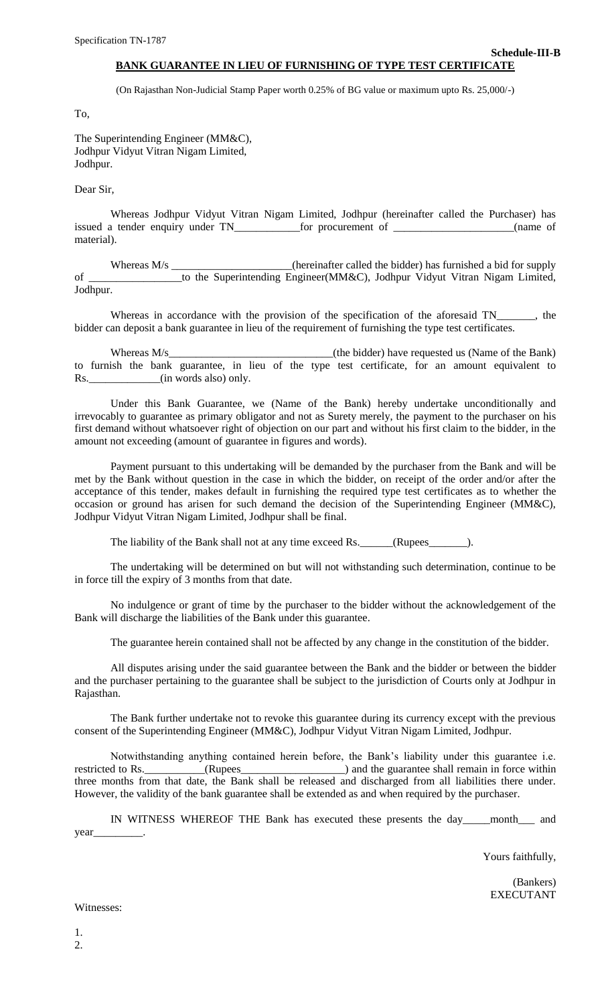#### **Schedule-III-B BANK GUARANTEE IN LIEU OF FURNISHING OF TYPE TEST CERTIFICATE**

(On Rajasthan Non-Judicial Stamp Paper worth 0.25% of BG value or maximum upto Rs. 25,000/-)

To,

The Superintending Engineer (MM&C), Jodhpur Vidyut Vitran Nigam Limited, Jodhpur.

Dear Sir,

Whereas Jodhpur Vidyut Vitran Nigam Limited, Jodhpur (hereinafter called the Purchaser) has issued a tender enquiry under TN\_\_\_\_\_\_\_\_\_\_\_\_for procurement of \_\_\_\_\_\_\_\_\_\_\_\_\_\_\_\_\_\_\_\_\_\_(name of material).

Whereas M/s \_\_\_\_\_\_\_\_\_\_\_\_\_\_\_\_\_\_\_\_\_\_(hereinafter called the bidder) has furnished a bid for supply of \_\_\_\_\_\_\_\_\_\_\_\_\_\_\_\_\_to the Superintending Engineer(MM&C), Jodhpur Vidyut Vitran Nigam Limited, Jodhpur.

Whereas in accordance with the provision of the specification of the aforesaid TN\_\_\_\_\_\_, the bidder can deposit a bank guarantee in lieu of the requirement of furnishing the type test certificates.

Whereas M/s\_\_\_\_\_\_\_\_\_\_\_\_\_\_\_\_\_\_\_\_\_\_\_\_\_\_\_\_\_\_(the bidder) have requested us (Name of the Bank) to furnish the bank guarantee, in lieu of the type test certificate, for an amount equivalent to Rs.  $(in words also) only.$ 

Under this Bank Guarantee, we (Name of the Bank) hereby undertake unconditionally and irrevocably to guarantee as primary obligator and not as Surety merely, the payment to the purchaser on his first demand without whatsoever right of objection on our part and without his first claim to the bidder, in the amount not exceeding (amount of guarantee in figures and words).

Payment pursuant to this undertaking will be demanded by the purchaser from the Bank and will be met by the Bank without question in the case in which the bidder, on receipt of the order and/or after the acceptance of this tender, makes default in furnishing the required type test certificates as to whether the occasion or ground has arisen for such demand the decision of the Superintending Engineer (MM&C), Jodhpur Vidyut Vitran Nigam Limited, Jodhpur shall be final.

The liability of the Bank shall not at any time exceed Rs. (Rupees \_\_\_\_\_\_\_\_).

The undertaking will be determined on but will not withstanding such determination, continue to be in force till the expiry of 3 months from that date.

No indulgence or grant of time by the purchaser to the bidder without the acknowledgement of the Bank will discharge the liabilities of the Bank under this guarantee.

The guarantee herein contained shall not be affected by any change in the constitution of the bidder.

All disputes arising under the said guarantee between the Bank and the bidder or between the bidder and the purchaser pertaining to the guarantee shall be subject to the jurisdiction of Courts only at Jodhpur in Rajasthan.

The Bank further undertake not to revoke this guarantee during its currency except with the previous consent of the Superintending Engineer (MM&C), Jodhpur Vidyut Vitran Nigam Limited, Jodhpur.

Notwithstanding anything contained herein before, the Bank"s liability under this guarantee i.e. restricted to Rs. \_\_\_\_\_\_\_\_\_(Rupees\_\_\_\_\_\_\_\_\_\_\_\_\_\_\_\_) and the guarantee shall remain in force within three months from that date, the Bank shall be released and discharged from all liabilities there under. However, the validity of the bank guarantee shall be extended as and when required by the purchaser.

IN WITNESS WHEREOF THE Bank has executed these presents the day\_\_\_\_\_month\_\_\_ and year\_\_\_\_\_\_\_\_\_.

Yours faithfully,

(Bankers) EXECUTANT

Witnesses: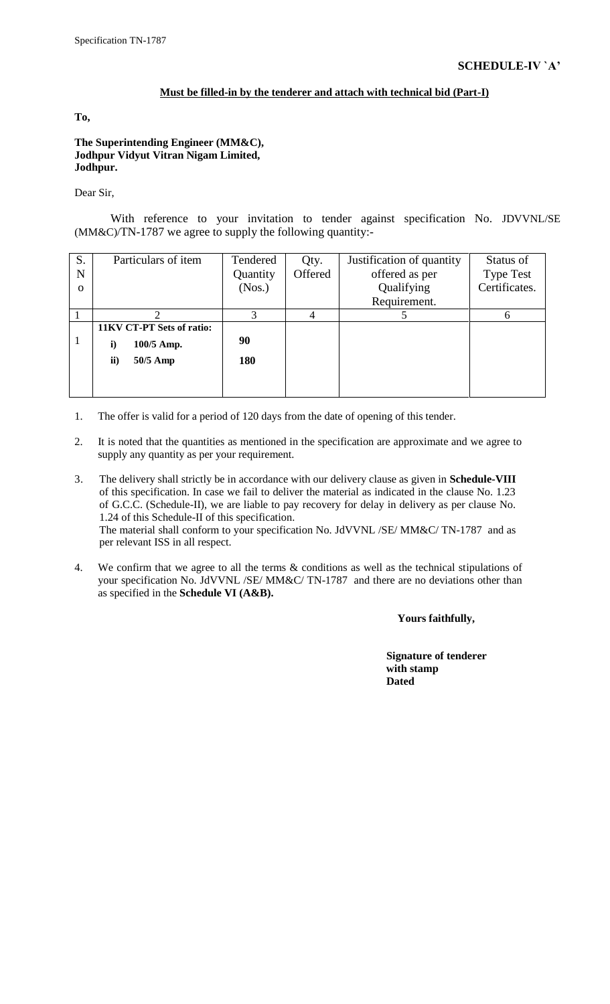#### **Must be filled-in by the tenderer and attach with technical bid (Part-I)**

**To,**

**The Superintending Engineer (MM&C), Jodhpur Vidyut Vitran Nigam Limited, Jodhpur.**

Dear Sir,

With reference to your invitation to tender against specification No. JDVVNL/SE (MM&C)/TN-1787 we agree to supply the following quantity:-

| S.       | Particulars of item        | Tendered | Qty.    | Justification of quantity | Status of        |
|----------|----------------------------|----------|---------|---------------------------|------------------|
| N        |                            | Quantity | Offered | offered as per            | <b>Type Test</b> |
| $\Omega$ |                            | (Nos.)   |         | Qualifying                | Certificates.    |
|          |                            |          |         | Requirement.              |                  |
|          |                            |          |         |                           | 6                |
|          | 11KV CT-PT Sets of ratio:  |          |         |                           |                  |
|          | 100/5 Amp.<br>$\mathbf{i}$ | 90       |         |                           |                  |
|          | 50/5 Amp<br>ii)            | 180      |         |                           |                  |
|          |                            |          |         |                           |                  |
|          |                            |          |         |                           |                  |

- 1. The offer is valid for a period of 120 days from the date of opening of this tender.
- 2. It is noted that the quantities as mentioned in the specification are approximate and we agree to supply any quantity as per your requirement.
- 3. The delivery shall strictly be in accordance with our delivery clause as given in **Schedule-VIII** of this specification. In case we fail to deliver the material as indicated in the clause No. 1.23 of G.C.C. (Schedule-II), we are liable to pay recovery for delay in delivery as per clause No. 1.24 of this Schedule-II of this specification. The material shall conform to your specification No. JdVVNL /SE/ MM&C/ TN-1787and as per relevant ISS in all respect.
- 4. We confirm that we agree to all the terms & conditions as well as the technical stipulations of your specification No. JdVVNL /SE/ MM&C/ TN-1787and there are no deviations other than as specified in the **Schedule VI (A&B).**

**Yours faithfully,**

 **Signature of tenderer with stamp Dated**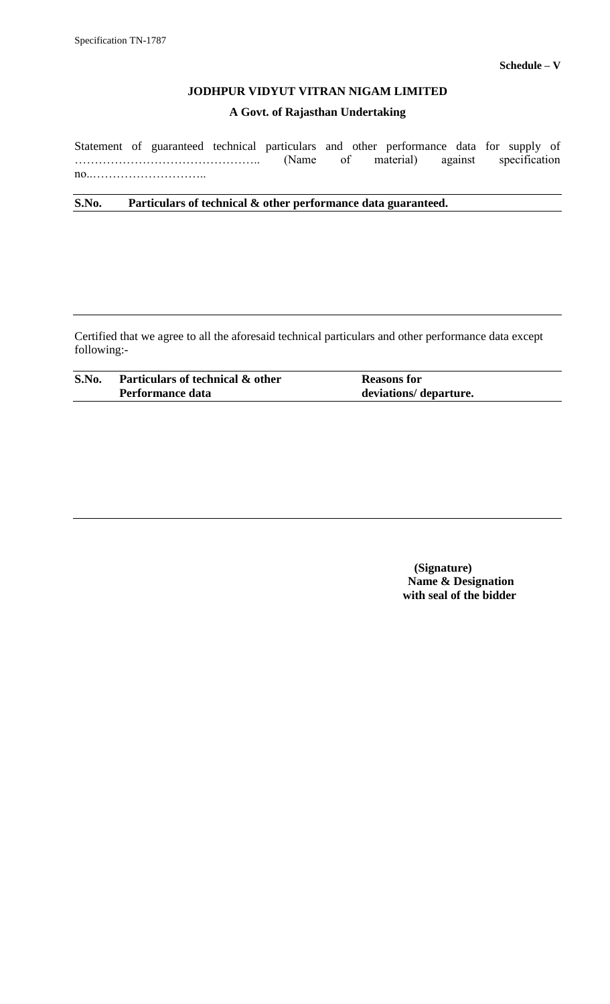# **A Govt. of Rajasthan Undertaking**

Statement of guaranteed technical particulars and other performance data for supply of ……………………………………….. (Name of material) against specification no..………………………..

**S.No. Particulars of technical & other performance data guaranteed.**

Certified that we agree to all the aforesaid technical particulars and other performance data except following:-

| S.No. | Particulars of technical & other | <b>Reasons for</b>     |
|-------|----------------------------------|------------------------|
|       | Performance data                 | deviations/ departure. |

 **(Signature) Name & Designation with seal of the bidder**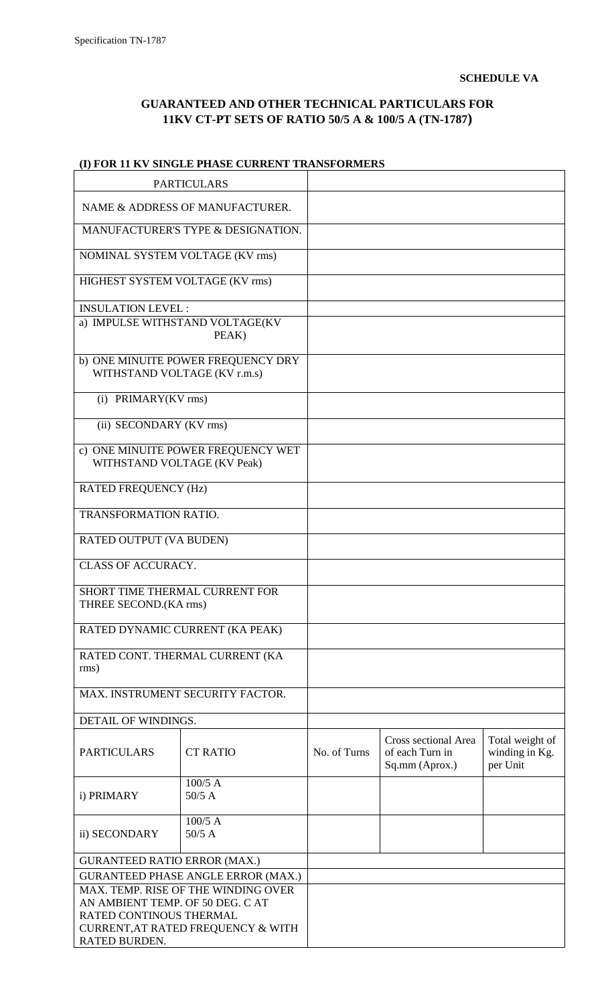$\overline{\mathsf{I}}$ 

# **GUARANTEED AND OTHER TECHNICAL PARTICULARS FOR 11KV CT-PT SETS OF RATIO 50/5 A & 100/5 A (TN-1787)**

# **(I) FOR 11 KV SINGLE PHASE CURRENT TRANSFORMERS**

| <b>PARTICULARS</b>                                      |                                           |              |                                                           |                                               |
|---------------------------------------------------------|-------------------------------------------|--------------|-----------------------------------------------------------|-----------------------------------------------|
| NAME & ADDRESS OF MANUFACTURER.                         |                                           |              |                                                           |                                               |
|                                                         | MANUFACTURER'S TYPE & DESIGNATION.        |              |                                                           |                                               |
| NOMINAL SYSTEM VOLTAGE (KV rms)                         |                                           |              |                                                           |                                               |
| HIGHEST SYSTEM VOLTAGE (KV rms)                         |                                           |              |                                                           |                                               |
| <b>INSULATION LEVEL:</b>                                |                                           |              |                                                           |                                               |
| a) IMPULSE WITHSTAND VOLTAGE(KV<br>PEAK)                |                                           |              |                                                           |                                               |
| WITHSTAND VOLTAGE (KV r.m.s)                            | b) ONE MINUITE POWER FREQUENCY DRY        |              |                                                           |                                               |
| (i) PRIMARY(KV rms)                                     |                                           |              |                                                           |                                               |
| (ii) SECONDARY (KV rms)                                 |                                           |              |                                                           |                                               |
| WITHSTAND VOLTAGE (KV Peak)                             | c) ONE MINUITE POWER FREQUENCY WET        |              |                                                           |                                               |
| <b>RATED FREQUENCY (Hz)</b>                             |                                           |              |                                                           |                                               |
| <b>TRANSFORMATION RATIO.</b>                            |                                           |              |                                                           |                                               |
| RATED OUTPUT (VA BUDEN)                                 |                                           |              |                                                           |                                               |
| <b>CLASS OF ACCURACY.</b>                               |                                           |              |                                                           |                                               |
| SHORT TIME THERMAL CURRENT FOR<br>THREE SECOND.(KA rms) |                                           |              |                                                           |                                               |
| RATED DYNAMIC CURRENT (KA PEAK)                         |                                           |              |                                                           |                                               |
| rms)                                                    | RATED CONT. THERMAL CURRENT (KA           |              |                                                           |                                               |
|                                                         | MAX. INSTRUMENT SECURITY FACTOR.          |              |                                                           |                                               |
| DETAIL OF WINDINGS.                                     |                                           |              |                                                           |                                               |
| <b>PARTICULARS</b>                                      | <b>CT RATIO</b>                           | No. of Turns | Cross sectional Area<br>of each Turn in<br>Sq.mm (Aprox.) | Total weight of<br>winding in Kg.<br>per Unit |
| i) PRIMARY                                              | $100/5$ A<br>$50/5$ A                     |              |                                                           |                                               |
| $100/5$ A<br>$50/5$ A<br>ii) SECONDARY                  |                                           |              |                                                           |                                               |
| <b>GURANTEED RATIO ERROR (MAX.)</b>                     |                                           |              |                                                           |                                               |
|                                                         | <b>GURANTEED PHASE ANGLE ERROR (MAX.)</b> |              |                                                           |                                               |
|                                                         | MAX. TEMP. RISE OF THE WINDING OVER       |              |                                                           |                                               |
| AN AMBIENT TEMP. OF 50 DEG. CAT                         |                                           |              |                                                           |                                               |
| RATED CONTINOUS THERMAL                                 |                                           |              |                                                           |                                               |
| CURRENT, AT RATED FREQUENCY & WITH<br>RATED BURDEN.     |                                           |              |                                                           |                                               |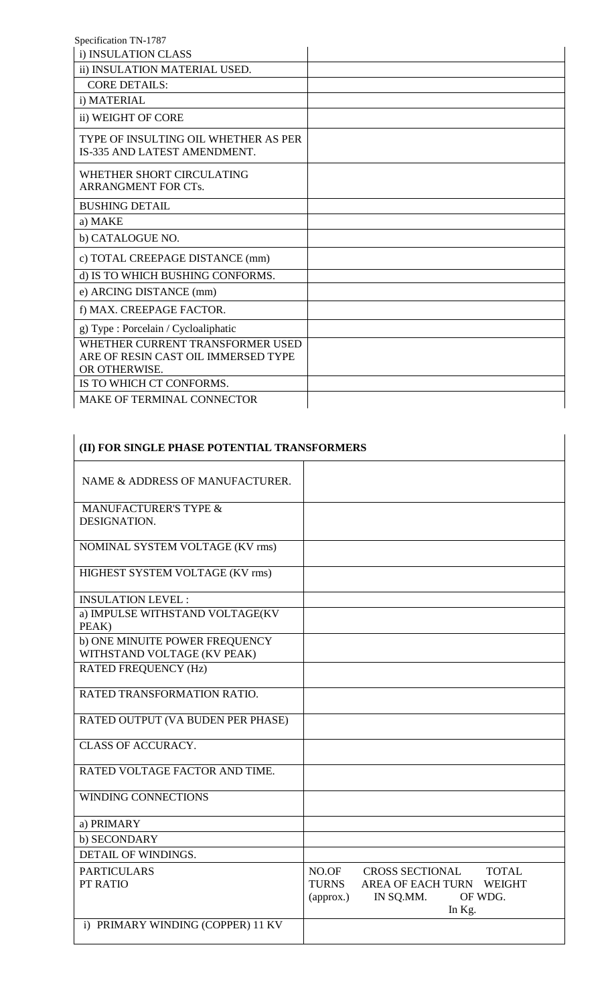| i) INSULATION CLASS                                                                      |  |
|------------------------------------------------------------------------------------------|--|
| ii) INSULATION MATERIAL USED.                                                            |  |
| <b>CORE DETAILS:</b>                                                                     |  |
| i) MATERIAL                                                                              |  |
| ii) WEIGHT OF CORE                                                                       |  |
| TYPE OF INSULTING OIL WHETHER AS PER<br>IS-335 AND LATEST AMENDMENT.                     |  |
| WHETHER SHORT CIRCULATING<br>ARRANGMENT FOR CTs.                                         |  |
| <b>BUSHING DETAIL</b>                                                                    |  |
| a) MAKE                                                                                  |  |
| b) CATALOGUE NO.                                                                         |  |
| c) TOTAL CREEPAGE DISTANCE (mm)                                                          |  |
| d) IS TO WHICH BUSHING CONFORMS.                                                         |  |
| e) ARCING DISTANCE (mm)                                                                  |  |
| f) MAX. CREEPAGE FACTOR.                                                                 |  |
| g) Type : Porcelain / Cycloaliphatic                                                     |  |
| WHETHER CURRENT TRANSFORMER USED<br>ARE OF RESIN CAST OIL IMMERSED TYPE<br>OR OTHERWISE. |  |
| IS TO WHICH CT CONFORMS.                                                                 |  |
| MAKE OF TERMINAL CONNECTOR                                                               |  |

| (II) FOR SINGLE PHASE POTENTIAL TRANSFORMERS                  |                                                                                                                                                     |
|---------------------------------------------------------------|-----------------------------------------------------------------------------------------------------------------------------------------------------|
| NAME & ADDRESS OF MANUFACTURER.                               |                                                                                                                                                     |
| <b>MANUFACTURER'S TYPE &amp;</b><br>DESIGNATION.              |                                                                                                                                                     |
| NOMINAL SYSTEM VOLTAGE (KV rms)                               |                                                                                                                                                     |
| HIGHEST SYSTEM VOLTAGE (KV rms)                               |                                                                                                                                                     |
| <b>INSULATION LEVEL:</b>                                      |                                                                                                                                                     |
| a) IMPULSE WITHSTAND VOLTAGE(KV<br>PEAK)                      |                                                                                                                                                     |
| b) ONE MINUITE POWER FREQUENCY<br>WITHSTAND VOLTAGE (KV PEAK) |                                                                                                                                                     |
| <b>RATED FREQUENCY (Hz)</b>                                   |                                                                                                                                                     |
| RATED TRANSFORMATION RATIO.                                   |                                                                                                                                                     |
| RATED OUTPUT (VA BUDEN PER PHASE)                             |                                                                                                                                                     |
| <b>CLASS OF ACCURACY.</b>                                     |                                                                                                                                                     |
| RATED VOLTAGE FACTOR AND TIME.                                |                                                                                                                                                     |
| <b>WINDING CONNECTIONS</b>                                    |                                                                                                                                                     |
| a) PRIMARY                                                    |                                                                                                                                                     |
| b) SECONDARY                                                  |                                                                                                                                                     |
| DETAIL OF WINDINGS.                                           |                                                                                                                                                     |
| <b>PARTICULARS</b><br>PT RATIO                                | <b>CROSS SECTIONAL</b><br><b>TOTAL</b><br>NO.OF<br>AREA OF EACH TURN WEIGHT<br><b>TURNS</b><br>OF WDG.<br>IN SQ.MM.<br>$\langle$ approx.)<br>In Kg. |
| i) PRIMARY WINDING (COPPER) 11 KV                             |                                                                                                                                                     |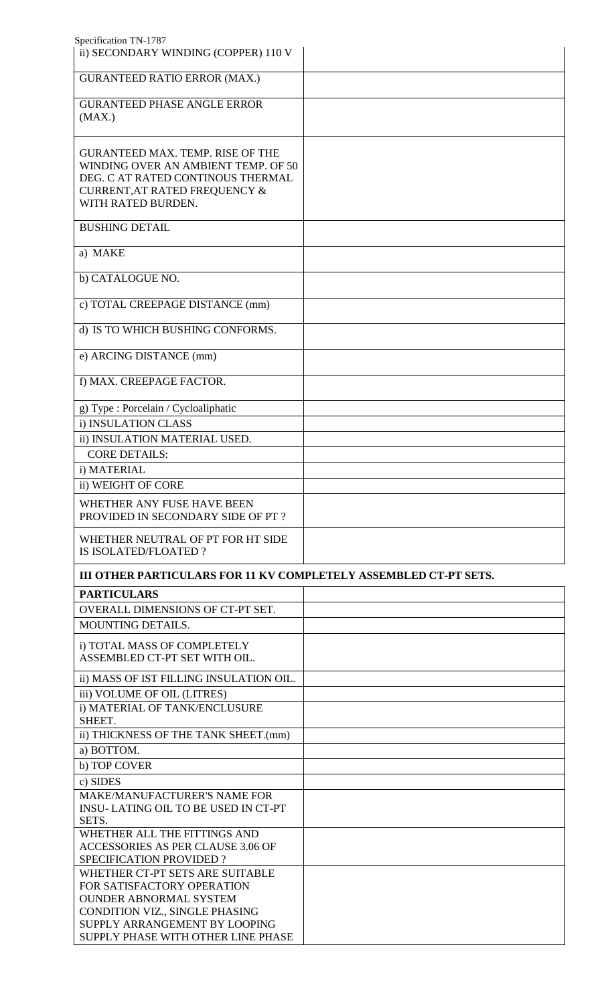| Specification TN-1787<br>ii) SECONDARY WINDING (COPPER) 110 V       |  |
|---------------------------------------------------------------------|--|
|                                                                     |  |
| <b>GURANTEED RATIO ERROR (MAX.)</b>                                 |  |
| <b>GURANTEED PHASE ANGLE ERROR</b>                                  |  |
| (MAX.)                                                              |  |
| <b>GURANTEED MAX. TEMP. RISE OF THE</b>                             |  |
| WINDING OVER AN AMBIENT TEMP. OF 50                                 |  |
| DEG. C AT RATED CONTINOUS THERMAL<br>CURRENT, AT RATED FREQUENCY &  |  |
| WITH RATED BURDEN.                                                  |  |
| <b>BUSHING DETAIL</b>                                               |  |
| a) MAKE                                                             |  |
| b) CATALOGUE NO.                                                    |  |
| c) TOTAL CREEPAGE DISTANCE (mm)                                     |  |
| d) IS TO WHICH BUSHING CONFORMS.                                    |  |
| e) ARCING DISTANCE (mm)                                             |  |
| f) MAX. CREEPAGE FACTOR.                                            |  |
| g) Type : Porcelain / Cycloaliphatic                                |  |
| i) INSULATION CLASS                                                 |  |
| ii) INSULATION MATERIAL USED.                                       |  |
| <b>CORE DETAILS:</b>                                                |  |
| i) MATERIAL                                                         |  |
| ii) WEIGHT OF CORE                                                  |  |
| WHETHER ANY FUSE HAVE BEEN<br>PROVIDED IN SECONDARY SIDE OF PT?     |  |
| WHETHER NEUTRAL OF PT FOR HT SIDE<br>IS ISOLATED/FLOATED?           |  |
| III OTHER PARTICULARS FOR 11 KV COMPLETELY ASSEMBLED CT-PT SETS.    |  |
| <b>PARTICULARS</b>                                                  |  |
| OVERALL DIMENSIONS OF CT-PT SET.                                    |  |
| MOUNTING DETAILS.                                                   |  |
| i) TOTAL MASS OF COMPLETELY                                         |  |
| ASSEMBLED CT-PT SET WITH OIL.                                       |  |
| ii) MASS OF IST FILLING INSULATION OIL.                             |  |
| iii) VOLUME OF OIL (LITRES)<br>i) MATERIAL OF TANK/ENCLUSURE        |  |
| SHEET.                                                              |  |
| ii) THICKNESS OF THE TANK SHEET.(mm)                                |  |
| a) BOTTOM.                                                          |  |
| b) TOP COVER                                                        |  |
| c) SIDES                                                            |  |
| <b>MAKE/MANUFACTURER'S NAME FOR</b>                                 |  |
| <b>INSU-LATING OIL TO BE USED IN CT-PT</b><br>SETS.                 |  |
| WHETHER ALL THE FITTINGS AND                                        |  |
| ACCESSORIES AS PER CLAUSE 3.06 OF                                   |  |
| <b>SPECIFICATION PROVIDED?</b>                                      |  |
| WHETHER CT-PT SETS ARE SUITABLE<br>FOR SATISFACTORY OPERATION       |  |
| <b>OUNDER ABNORMAL SYSTEM</b>                                       |  |
|                                                                     |  |
| CONDITION VIZ., SINGLE PHASING                                      |  |
| SUPPLY ARRANGEMENT BY LOOPING<br>SUPPLY PHASE WITH OTHER LINE PHASE |  |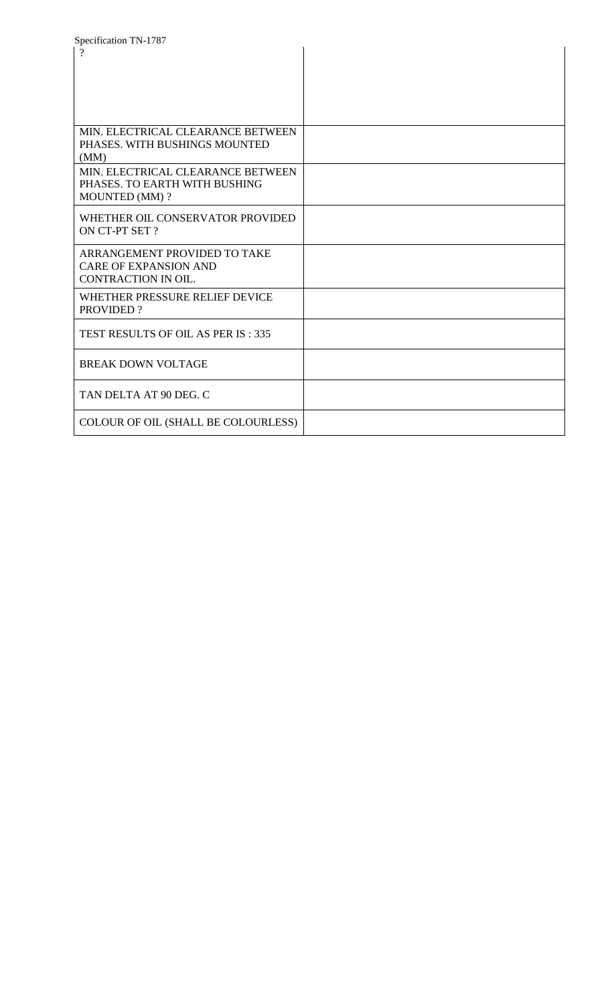| Specification TN-1787               |  |
|-------------------------------------|--|
| $\gamma$                            |  |
|                                     |  |
|                                     |  |
|                                     |  |
|                                     |  |
|                                     |  |
| MIN. ELECTRICAL CLEARANCE BETWEEN   |  |
| PHASES. WITH BUSHINGS MOUNTED       |  |
| (MM)                                |  |
| MIN. ELECTRICAL CLEARANCE BETWEEN   |  |
| PHASES. TO EARTH WITH BUSHING       |  |
| <b>MOUNTED (MM)?</b>                |  |
|                                     |  |
| WHETHER OIL CONSERVATOR PROVIDED    |  |
| ON CT-PT SET ?                      |  |
|                                     |  |
| ARRANGEMENT PROVIDED TO TAKE        |  |
| <b>CARE OF EXPANSION AND</b>        |  |
| CONTRACTION IN OIL.                 |  |
| WHETHER PRESSURE RELIEF DEVICE      |  |
| <b>PROVIDED?</b>                    |  |
|                                     |  |
| TEST RESULTS OF OIL AS PER IS: 335  |  |
|                                     |  |
| <b>BREAK DOWN VOLTAGE</b>           |  |
|                                     |  |
|                                     |  |
| TAN DELTA AT 90 DEG. C              |  |
|                                     |  |
| COLOUR OF OIL (SHALL BE COLOURLESS) |  |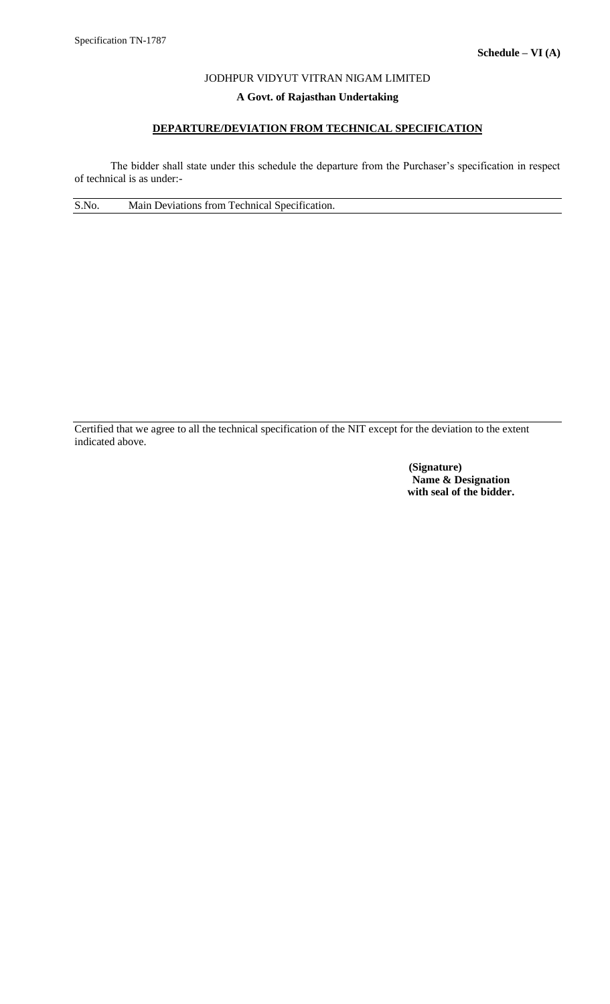# **A Govt. of Rajasthan Undertaking**

# **DEPARTURE/DEVIATION FROM TECHNICAL SPECIFICATION**

The bidder shall state under this schedule the departure from the Purchaser's specification in respect of technical is as under:-

S.No. Main Deviations from Technical Specification.

Certified that we agree to all the technical specification of the NIT except for the deviation to the extent indicated above.

> **(Signature) Name & Designation with seal of the bidder.**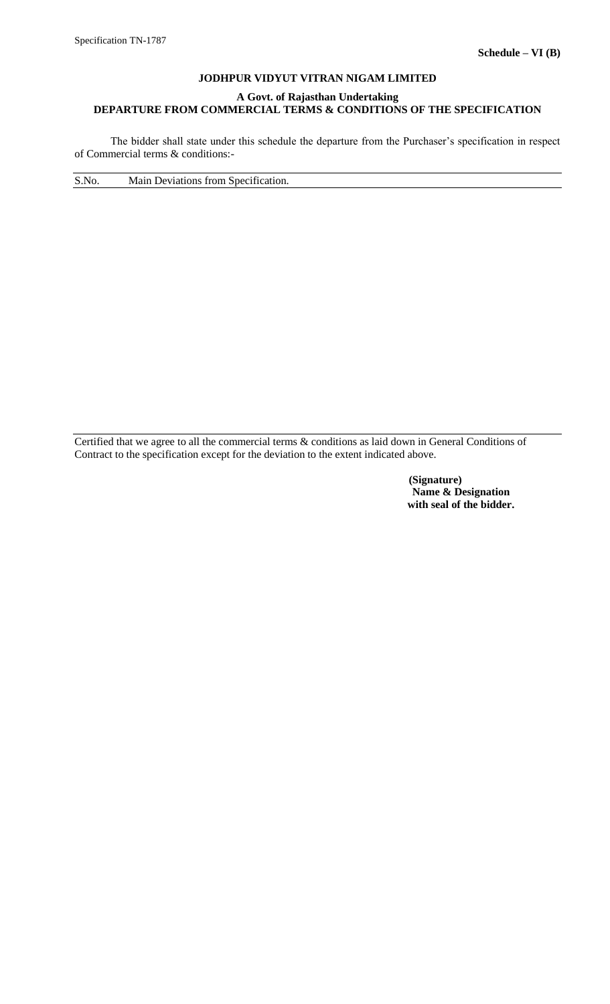# **A Govt. of Rajasthan Undertaking DEPARTURE FROM COMMERCIAL TERMS & CONDITIONS OF THE SPECIFICATION**

The bidder shall state under this schedule the departure from the Purchaser's specification in respect of Commercial terms & conditions:-

S.No. Main Deviations from Specification.

Certified that we agree to all the commercial terms & conditions as laid down in General Conditions of Contract to the specification except for the deviation to the extent indicated above.

> **(Signature) Name & Designation with seal of the bidder.**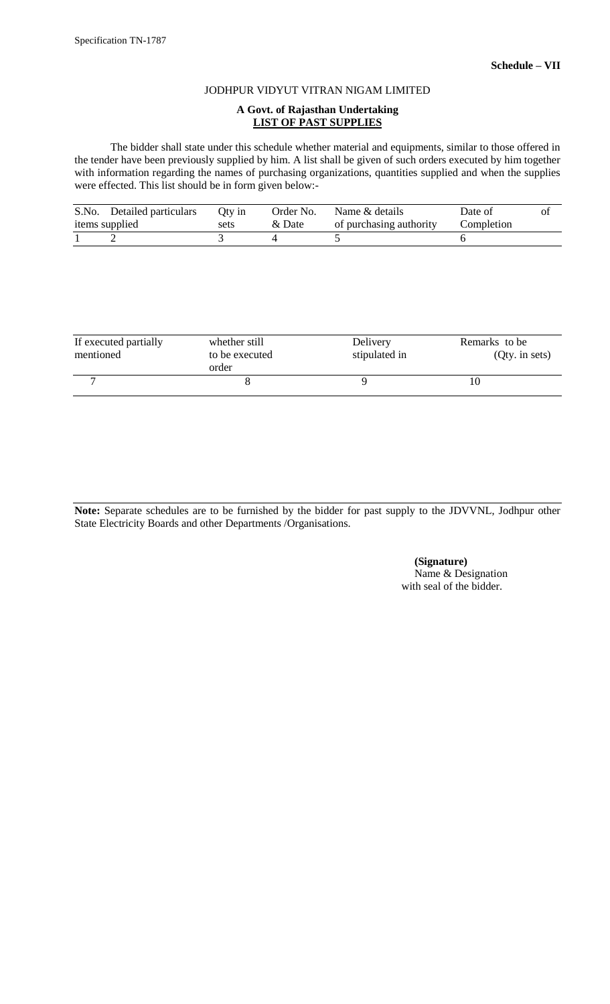#### **A Govt. of Rajasthan Undertaking LIST OF PAST SUPPLIES**

The bidder shall state under this schedule whether material and equipments, similar to those offered in the tender have been previously supplied by him. A list shall be given of such orders executed by him together with information regarding the names of purchasing organizations, quantities supplied and when the supplies were effected. This list should be in form given below:-

| S.No. Detailed particulars | Otv in | Order No. | Name & details          | Date of    | Оl |
|----------------------------|--------|-----------|-------------------------|------------|----|
| items supplied             | sets   | & Date    | of purchasing authority | Completion |    |
|                            |        |           |                         |            |    |

| If executed partially<br>mentioned | whether still<br>to be executed<br>order | Delivery<br>stipulated in | Remarks to be<br>$Qty.$ in sets) |
|------------------------------------|------------------------------------------|---------------------------|----------------------------------|
|                                    |                                          |                           |                                  |

**Note:** Separate schedules are to be furnished by the bidder for past supply to the JDVVNL, Jodhpur other State Electricity Boards and other Departments /Organisations.

> **(Signature)** Name & Designation with seal of the bidder.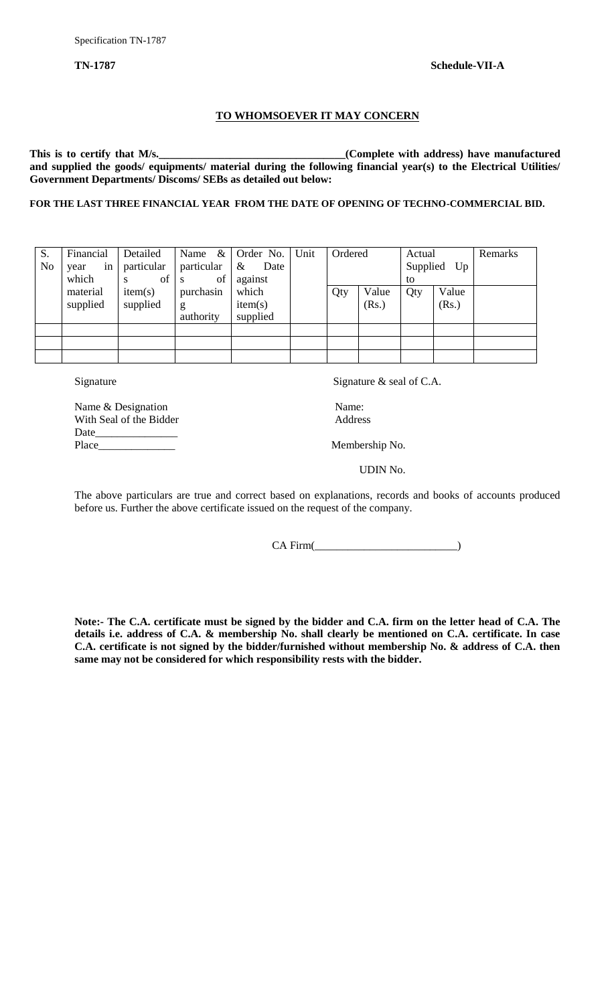#### **TO WHOMSOEVER IT MAY CONCERN**

This is to certify that M/s.<br><u>Complete with address</u>) have manufactured **and supplied the goods/ equipments/ material during the following financial year(s) to the Electrical Utilities/ Government Departments/ Discoms/ SEBs as detailed out below:**

**FOR THE LAST THREE FINANCIAL YEAR FROM THE DATE OF OPENING OF TECHNO-COMMERCIAL BID.**

| in<br>particular<br>particular<br>No<br>$\&$<br>Date<br>which<br>of<br>against<br>of<br>S<br><sub>S</sub>  |     |                | to  | Supplied Up    |  |
|------------------------------------------------------------------------------------------------------------|-----|----------------|-----|----------------|--|
| which<br>material<br>purchasin<br>item(s)<br>supplied<br>supplied<br>item(s)<br>g<br>supplied<br>authority | Qty | Value<br>(Rs.) | Qty | Value<br>(Rs.) |  |
|                                                                                                            |     |                |     |                |  |

Signature Signature & seal of C.A.

Name & Designation Name: With Seal of the Bidder Address Date Place\_\_\_\_\_\_\_\_\_\_\_\_\_\_ Membership No.

UDIN No.

The above particulars are true and correct based on explanations, records and books of accounts produced before us. Further the above certificate issued on the request of the company.

 $CA Firm($ 

**Note:- The C.A. certificate must be signed by the bidder and C.A. firm on the letter head of C.A. The details i.e. address of C.A. & membership No. shall clearly be mentioned on C.A. certificate. In case C.A. certificate is not signed by the bidder/furnished without membership No. & address of C.A. then same may not be considered for which responsibility rests with the bidder.**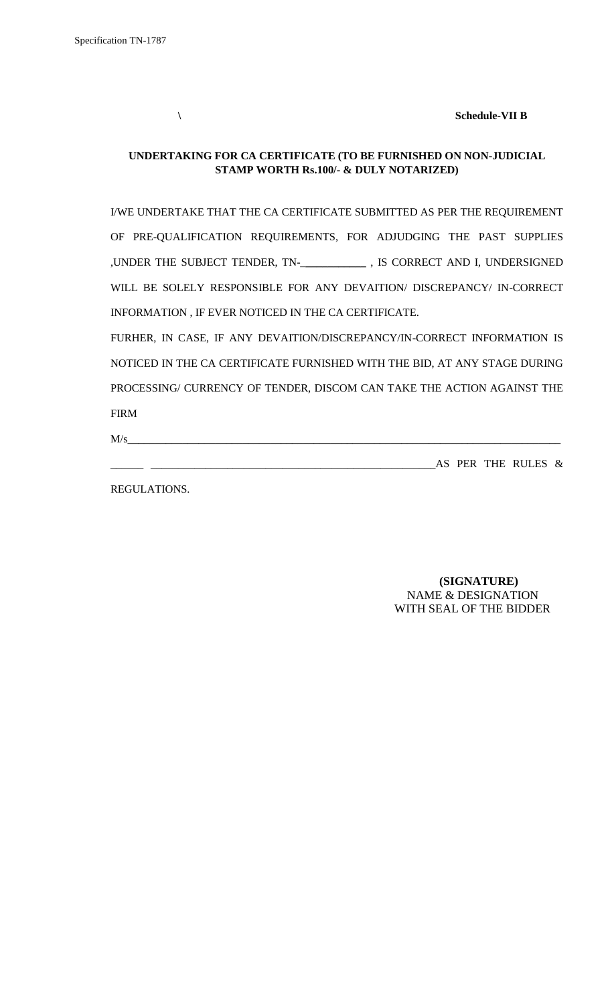**\ Schedule-VII B**

# **UNDERTAKING FOR CA CERTIFICATE (TO BE FURNISHED ON NON-JUDICIAL STAMP WORTH Rs.100/- & DULY NOTARIZED)**

I/WE UNDERTAKE THAT THE CA CERTIFICATE SUBMITTED AS PER THE REQUIREMENT OF PRE-QUALIFICATION REQUIREMENTS, FOR ADJUDGING THE PAST SUPPLIES ,UNDER THE SUBJECT TENDER, TN-\_**\_\_\_\_\_\_\_\_\_\_\_** , IS CORRECT AND I, UNDERSIGNED WILL BE SOLELY RESPONSIBLE FOR ANY DEVAITION/ DISCREPANCY/ IN-CORRECT INFORMATION , IF EVER NOTICED IN THE CA CERTIFICATE.

FURHER, IN CASE, IF ANY DEVAITION/DISCREPANCY/IN-CORRECT INFORMATION IS NOTICED IN THE CA CERTIFICATE FURNISHED WITH THE BID, AT ANY STAGE DURING PROCESSING/ CURRENCY OF TENDER, DISCOM CAN TAKE THE ACTION AGAINST THE FIRM

 $M/s$   $\overline{\phantom{a}}$ 

\_\_\_\_\_\_ \_\_\_\_\_\_\_\_\_\_\_\_\_\_\_\_\_\_\_\_\_\_\_\_\_\_\_\_\_\_\_\_\_\_\_\_\_\_\_\_\_\_\_\_\_\_\_\_\_\_\_\_AS PER THE RULES &

REGULATIONS.

 **(SIGNATURE)** NAME & DESIGNATION WITH SEAL OF THE BIDDER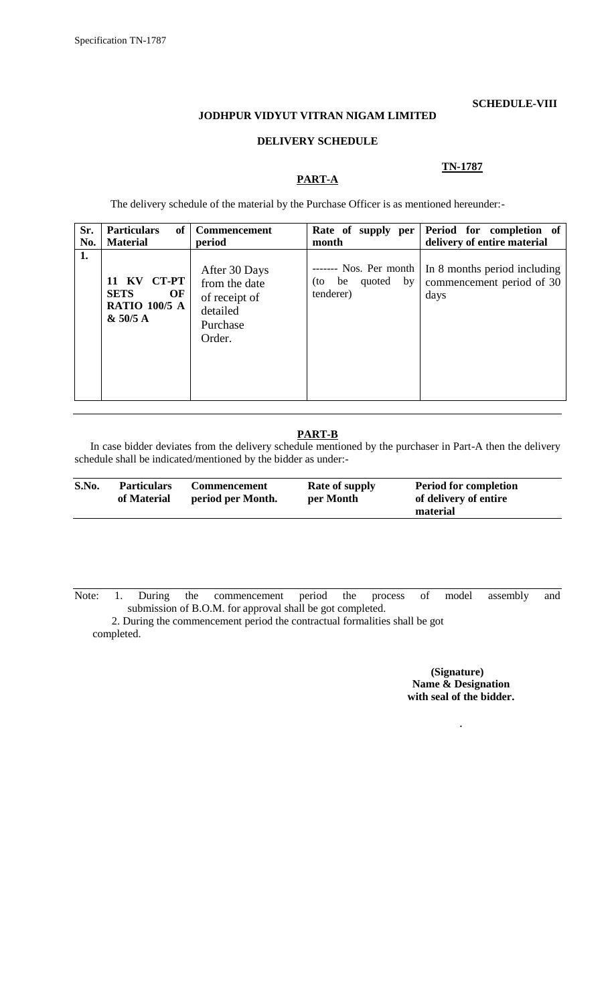#### **SCHEDULE-VIII**

# **JODHPUR VIDYUT VITRAN NIGAM LIMITED**

#### **DELIVERY SCHEDULE**

**PART-A**

#### **TN-1787**

The delivery schedule of the material by the Purchase Officer is as mentioned hereunder:-

| Sr.<br>No. | <b>Particulars</b><br>of<br><b>Material</b>                                         | <b>Commencement</b><br>period                                                     | Rate of supply per<br>month                                      | Period for completion of<br>delivery of entire material           |
|------------|-------------------------------------------------------------------------------------|-----------------------------------------------------------------------------------|------------------------------------------------------------------|-------------------------------------------------------------------|
| 1.         | <b>CT-PT</b><br>– KV<br>11<br><b>SETS</b><br>OF<br><b>RATIO 100/5 A</b><br>& 50/5 A | After 30 Days<br>from the date<br>of receipt of<br>detailed<br>Purchase<br>Order. | ------- Nos. Per month<br>quoted<br>by<br>(to<br>be<br>tenderer) | In 8 months period including<br>commencement period of 30<br>days |

# **PART-B**

In case bidder deviates from the delivery schedule mentioned by the purchaser in Part-A then the delivery schedule shall be indicated/mentioned by the bidder as under:-

Note: 1. During the commencement period the process of model assembly and submission of B.O.M. for approval shall be got completed.

 2. During the commencement period the contractual formalities shall be got completed.

> **(Signature) Name & Designation with seal of the bidder.**

> > .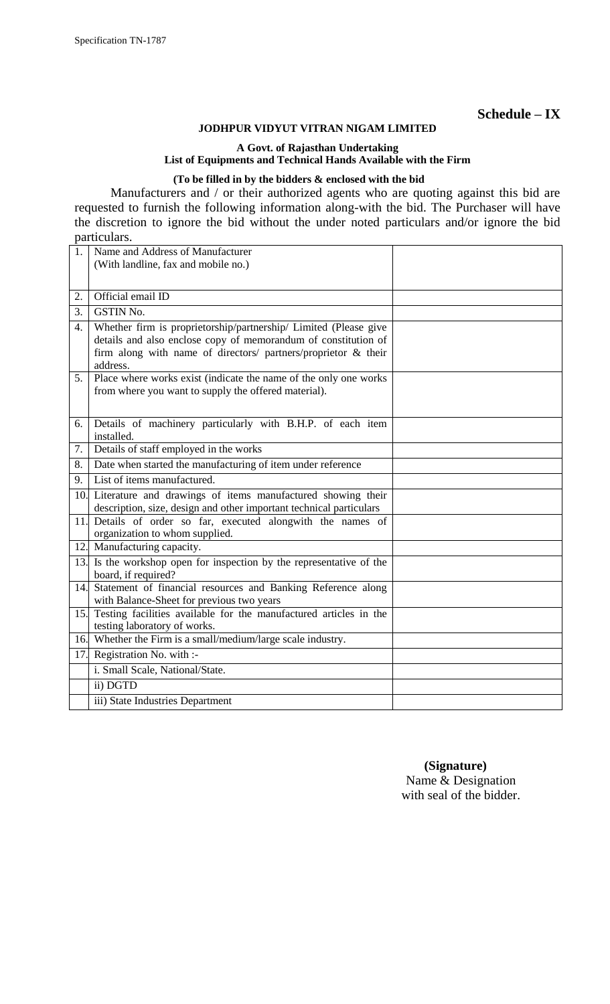# **Schedule – IX**

# **JODHPUR VIDYUT VITRAN NIGAM LIMITED**

# **A Govt. of Rajasthan Undertaking List of Equipments and Technical Hands Available with the Firm**

# **(To be filled in by the bidders & enclosed with the bid**

Manufacturers and / or their authorized agents who are quoting against this bid are requested to furnish the following information along-with the bid. The Purchaser will have the discretion to ignore the bid without the under noted particulars and/or ignore the bid particulars.

| 1.               | Name and Address of Manufacturer                                                                                                                                                                                 |  |
|------------------|------------------------------------------------------------------------------------------------------------------------------------------------------------------------------------------------------------------|--|
|                  | (With landline, fax and mobile no.)                                                                                                                                                                              |  |
|                  |                                                                                                                                                                                                                  |  |
| 2.               | Official email ID                                                                                                                                                                                                |  |
| 3.               | <b>GSTIN No.</b>                                                                                                                                                                                                 |  |
| $\overline{4}$ . | Whether firm is proprietorship/partnership/ Limited (Please give<br>details and also enclose copy of memorandum of constitution of<br>firm along with name of directors/ partners/proprietor & their<br>address. |  |
| 5.               | Place where works exist (indicate the name of the only one works<br>from where you want to supply the offered material).                                                                                         |  |
| 6.               | Details of machinery particularly with B.H.P. of each item<br>installed.                                                                                                                                         |  |
| 7.               | Details of staff employed in the works                                                                                                                                                                           |  |
| 8.               | Date when started the manufacturing of item under reference                                                                                                                                                      |  |
| 9.               | List of items manufactured.                                                                                                                                                                                      |  |
|                  | 10. Literature and drawings of items manufactured showing their                                                                                                                                                  |  |
|                  | description, size, design and other important technical particulars<br>11. Details of order so far, executed alongwith the names of<br>organization to whom supplied.                                            |  |
|                  | 12. Manufacturing capacity.                                                                                                                                                                                      |  |
| 13.              | Is the workshop open for inspection by the representative of the<br>board, if required?                                                                                                                          |  |
| 14.              | Statement of financial resources and Banking Reference along<br>with Balance-Sheet for previous two years                                                                                                        |  |
| 15.              | Testing facilities available for the manufactured articles in the<br>testing laboratory of works.                                                                                                                |  |
|                  | 16. Whether the Firm is a small/medium/large scale industry.                                                                                                                                                     |  |
| 17.              | Registration No. with :-                                                                                                                                                                                         |  |
|                  | i. Small Scale, National/State.                                                                                                                                                                                  |  |
|                  | ii) DGTD                                                                                                                                                                                                         |  |
|                  | iii) State Industries Department                                                                                                                                                                                 |  |

 **(Signature)** Name & Designation with seal of the bidder.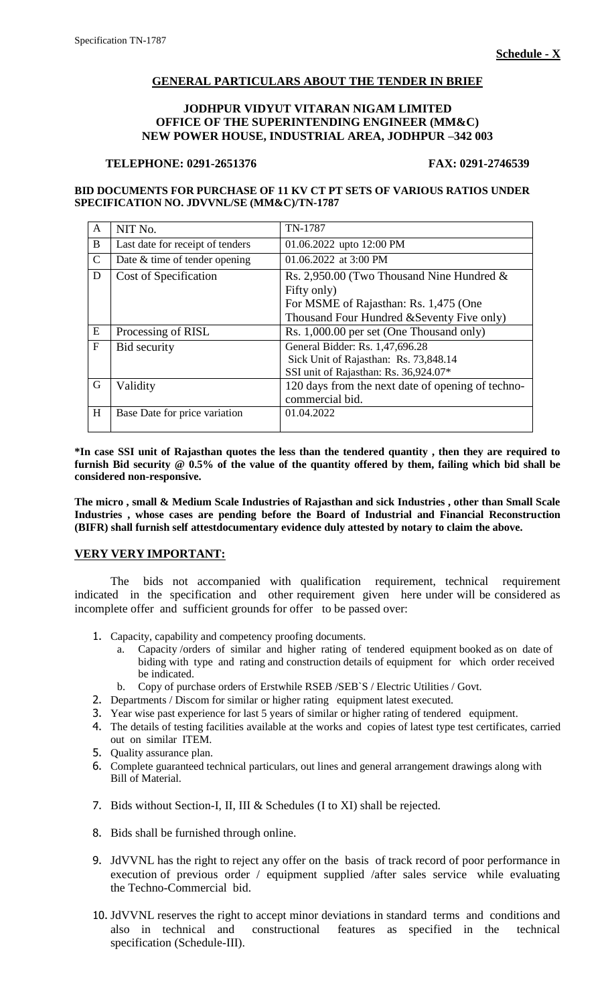# **GENERAL PARTICULARS ABOUT THE TENDER IN BRIEF**

### **JODHPUR VIDYUT VITARAN NIGAM LIMITED OFFICE OF THE SUPERINTENDING ENGINEER (MM&C) NEW POWER HOUSE, INDUSTRIAL AREA, JODHPUR –342 003**

#### **TELEPHONE: 0291-2651376 FAX: 0291-2746539**

**BID DOCUMENTS FOR PURCHASE OF 11 KV CT PT SETS OF VARIOUS RATIOS UNDER SPECIFICATION NO. JDVVNL/SE (MM&C)/TN-1787**

|               | NIT No.                          | TN-1787                                           |
|---------------|----------------------------------|---------------------------------------------------|
| B             | Last date for receipt of tenders | 01.06.2022 upto 12:00 PM                          |
| $\mathcal{C}$ | Date & time of tender opening    | 01.06.2022 at 3:00 PM                             |
| D             | Cost of Specification            | Rs. 2,950.00 (Two Thousand Nine Hundred $\&$      |
|               |                                  | Fifty only)                                       |
|               |                                  | For MSME of Rajasthan: Rs. 1,475 (One             |
|               |                                  | Thousand Four Hundred & Seventy Five only)        |
| E             | Processing of RISL               | Rs. 1,000.00 per set (One Thousand only)          |
| F             | <b>Bid security</b>              | General Bidder: Rs. 1,47,696.28                   |
|               |                                  | Sick Unit of Rajasthan: Rs. 73,848.14             |
|               |                                  | SSI unit of Rajasthan: Rs. 36,924.07*             |
| G             | Validity                         | 120 days from the next date of opening of techno- |
|               |                                  | commercial bid.                                   |
| H             | Base Date for price variation    | 01.04.2022                                        |
|               |                                  |                                                   |

**\*In case SSI unit of Rajasthan quotes the less than the tendered quantity , then they are required to furnish Bid security @ 0.5% of the value of the quantity offered by them, failing which bid shall be considered non-responsive.**

**The micro , small & Medium Scale Industries of Rajasthan and sick Industries , other than Small Scale Industries , whose cases are pending before the Board of Industrial and Financial Reconstruction (BIFR) shall furnish self attestdocumentary evidence duly attested by notary to claim the above.**

#### **VERY VERY IMPORTANT:**

The bids not accompanied with qualification requirement, technical requirement indicated in the specification and other requirement given here under will be considered as incomplete offer and sufficient grounds for offer to be passed over:

- 1. Capacity, capability and competency proofing documents.
	- a. Capacity /orders of similar and higher rating of tendered equipment booked as on date of biding with type and rating and construction details of equipment for which order received be indicated.
	- b. Copy of purchase orders of Erstwhile RSEB /SEB`S / Electric Utilities / Govt.
- 2. Departments / Discom for similar or higher rating equipment latest executed.
- 3. Year wise past experience for last 5 years of similar or higher rating of tendered equipment.
- 4. The details of testing facilities available at the works and copies of latest type test certificates, carried out on similar ITEM.
- 5. Quality assurance plan.
- 6. Complete guaranteed technical particulars, out lines and general arrangement drawings along with Bill of Material.
- 7. Bids without Section-I, II, III & Schedules (I to XI) shall be rejected.
- 8. Bids shall be furnished through online.
- 9. JdVVNL has the right to reject any offer on the basis of track record of poor performance in execution of previous order / equipment supplied /after sales service while evaluating the Techno-Commercial bid.
- 10. JdVVNL reserves the right to accept minor deviations in standard terms and conditions and also in technical and constructional features as specified in the technical specification (Schedule-III).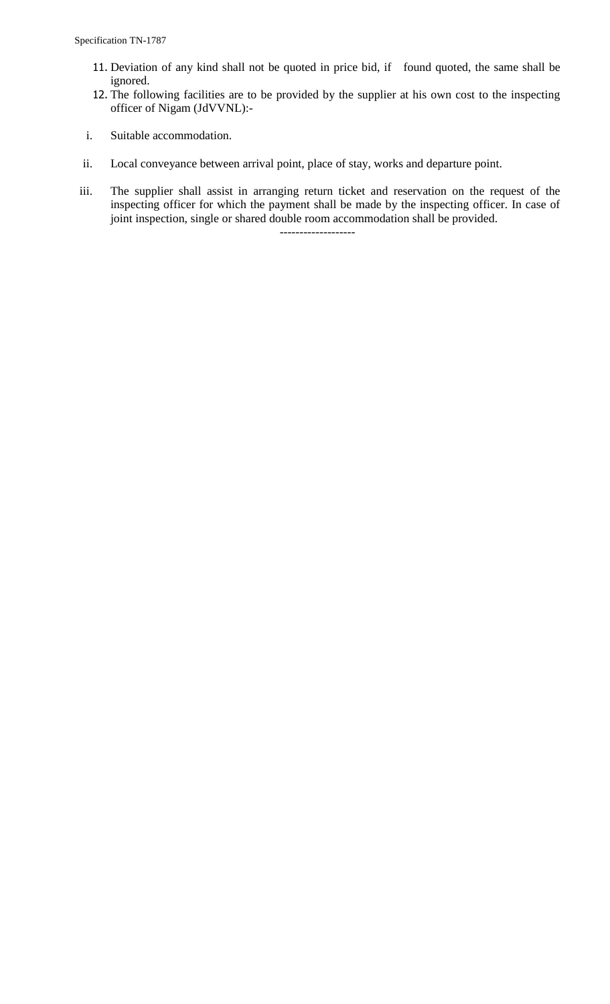- 11. Deviation of any kind shall not be quoted in price bid, if found quoted, the same shall be ignored.
- 12. The following facilities are to be provided by the supplier at his own cost to the inspecting officer of Nigam (JdVVNL):-
- i. Suitable accommodation.
- ii. Local conveyance between arrival point, place of stay, works and departure point.
- iii. The supplier shall assist in arranging return ticket and reservation on the request of the inspecting officer for which the payment shall be made by the inspecting officer. In case of joint inspection, single or shared double room accommodation shall be provided.

-------------------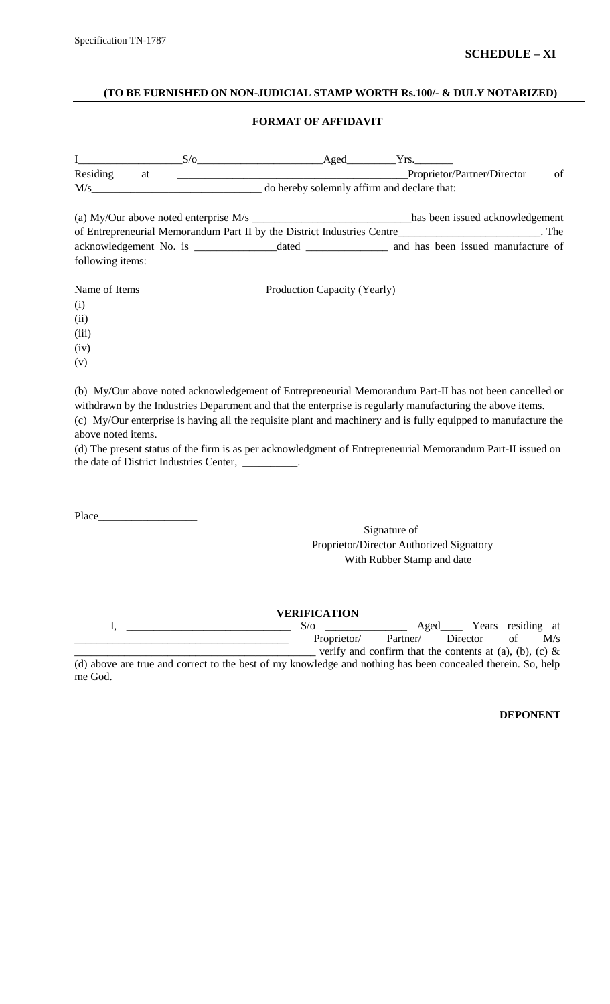#### **(TO BE FURNISHED ON NON-JUDICIAL STAMP WORTH Rs.100/- & DULY NOTARIZED)**

# **FORMAT OF AFFIDAVIT**

| $\mathbf I$<br>Residing at                           | $S/O$ Aged $Yrs$ .                              | Proprietor/Partner/Director<br>of                                                                                                                                                                                                                                                                                                      |
|------------------------------------------------------|-------------------------------------------------|----------------------------------------------------------------------------------------------------------------------------------------------------------------------------------------------------------------------------------------------------------------------------------------------------------------------------------------|
|                                                      | M/s do hereby solemnly affirm and declare that: |                                                                                                                                                                                                                                                                                                                                        |
|                                                      |                                                 | (a) My/Our above noted enterprise M/s ________________________________has been issued acknowledgement<br>of Entrepreneurial Memorandum Part II by the District Industries Centre________________________. The                                                                                                                          |
| following items:                                     |                                                 |                                                                                                                                                                                                                                                                                                                                        |
| Name of Items<br>(i)<br>(ii)<br>(iii)<br>(iv)<br>(v) | Production Capacity (Yearly)                    |                                                                                                                                                                                                                                                                                                                                        |
| above noted items.                                   |                                                 | (b) My/Our above noted acknowledgement of Entrepreneurial Memorandum Part-II has not been cancelled or<br>withdrawn by the Industries Department and that the enterprise is regularly manufacturing the above items.<br>(c) My/Our enterprise is having all the requisite plant and machinery and is fully equipped to manufacture the |

(d) The present status of the firm is as per acknowledgment of Entrepreneurial Memorandum Part-II issued on the date of District Industries Center, \_\_\_\_\_\_\_\_\_\_.

Place\_\_\_\_

Signature of Proprietor/Director Authorized Signatory With Rubber Stamp and date

**VERIFICATION** I, \_\_\_\_\_\_\_\_\_\_\_\_\_\_\_\_\_\_\_\_\_\_\_\_\_\_\_\_\_\_ S/o \_\_\_\_\_\_\_\_\_\_\_\_\_\_\_ Aged\_\_\_\_ Years residing at Proprietor/ Partner/ Director of M/s verify and confirm that the contents at (a), (b), (c)  $\&$ (d) above are true and correct to the best of my knowledge and nothing has been concealed therein. So, help me God.

**DEPONENT**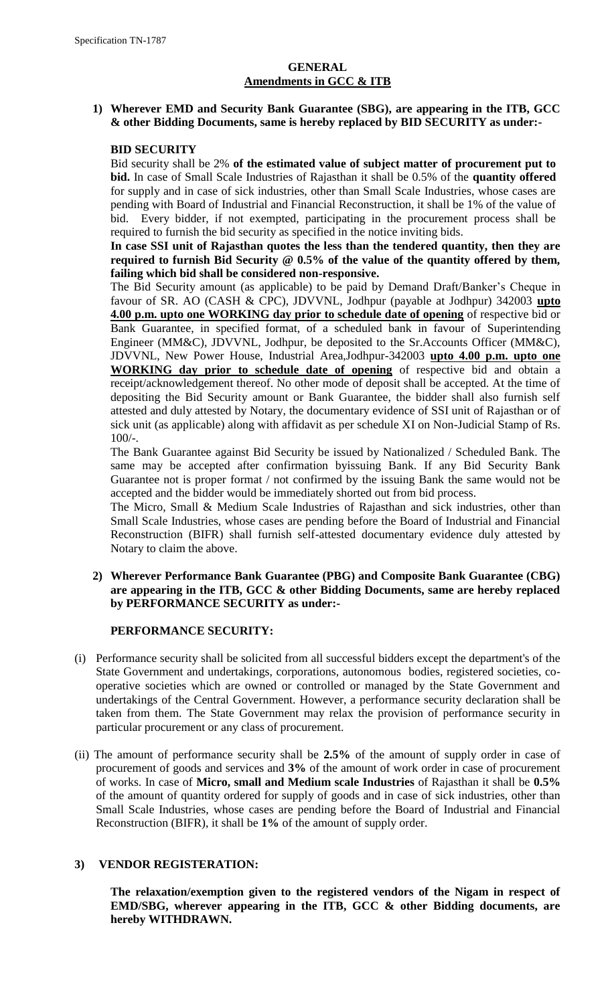# **GENERAL Amendments in GCC & ITB**

# **1) Wherever EMD and Security Bank Guarantee (SBG), are appearing in the ITB, GCC & other Bidding Documents, same is hereby replaced by BID SECURITY as under:-**

# **BID SECURITY**

Bid security shall be 2% **of the estimated value of subject matter of procurement put to bid.** In case of Small Scale Industries of Rajasthan it shall be 0.5% of the **quantity offered** for supply and in case of sick industries, other than Small Scale Industries, whose cases are pending with Board of Industrial and Financial Reconstruction, it shall be 1% of the value of bid. Every bidder, if not exempted, participating in the procurement process shall be required to furnish the bid security as specified in the notice inviting bids.

# **In case SSI unit of Rajasthan quotes the less than the tendered quantity, then they are required to furnish Bid Security @ 0.5% of the value of the quantity offered by them, failing which bid shall be considered non-responsive.**

The Bid Security amount (as applicable) to be paid by Demand Draft/Banker"s Cheque in favour of SR. AO (CASH & CPC), JDVVNL, Jodhpur (payable at Jodhpur) 342003 **upto 4.00 p.m. upto one WORKING day prior to schedule date of opening** of respective bid or Bank Guarantee, in specified format, of a scheduled bank in favour of Superintending Engineer (MM&C), JDVVNL, Jodhpur, be deposited to the Sr.Accounts Officer (MM&C), JDVVNL, New Power House, Industrial Area,Jodhpur-342003 **upto 4.00 p.m. upto one WORKING day prior to schedule date of opening** of respective bid and obtain a receipt/acknowledgement thereof. No other mode of deposit shall be accepted. At the time of depositing the Bid Security amount or Bank Guarantee, the bidder shall also furnish self attested and duly attested by Notary, the documentary evidence of SSI unit of Rajasthan or of sick unit (as applicable) along with affidavit as per schedule XI on Non-Judicial Stamp of Rs. 100/-.

The Bank Guarantee against Bid Security be issued by Nationalized / Scheduled Bank. The same may be accepted after confirmation byissuing Bank. If any Bid Security Bank Guarantee not is proper format / not confirmed by the issuing Bank the same would not be accepted and the bidder would be immediately shorted out from bid process.

The Micro, Small & Medium Scale Industries of Rajasthan and sick industries, other than Small Scale Industries, whose cases are pending before the Board of Industrial and Financial Reconstruction (BIFR) shall furnish self-attested documentary evidence duly attested by Notary to claim the above.

# **2) Wherever Performance Bank Guarantee (PBG) and Composite Bank Guarantee (CBG) are appearing in the ITB, GCC & other Bidding Documents, same are hereby replaced by PERFORMANCE SECURITY as under:-**

# **PERFORMANCE SECURITY:**

- (i) Performance security shall be solicited from all successful bidders except the department's of the State Government and undertakings, corporations, autonomous bodies, registered societies, cooperative societies which are owned or controlled or managed by the State Government and undertakings of the Central Government. However, a performance security declaration shall be taken from them. The State Government may relax the provision of performance security in particular procurement or any class of procurement.
- (ii) The amount of performance security shall be **2.5%** of the amount of supply order in case of procurement of goods and services and **3%** of the amount of work order in case of procurement of works. In case of **Micro, small and Medium scale Industries** of Rajasthan it shall be **0.5%** of the amount of quantity ordered for supply of goods and in case of sick industries, other than Small Scale Industries, whose cases are pending before the Board of Industrial and Financial Reconstruction (BIFR), it shall be **1%** of the amount of supply order.

# **3) VENDOR REGISTERATION:**

**The relaxation/exemption given to the registered vendors of the Nigam in respect of EMD/SBG, wherever appearing in the ITB, GCC & other Bidding documents, are hereby WITHDRAWN.**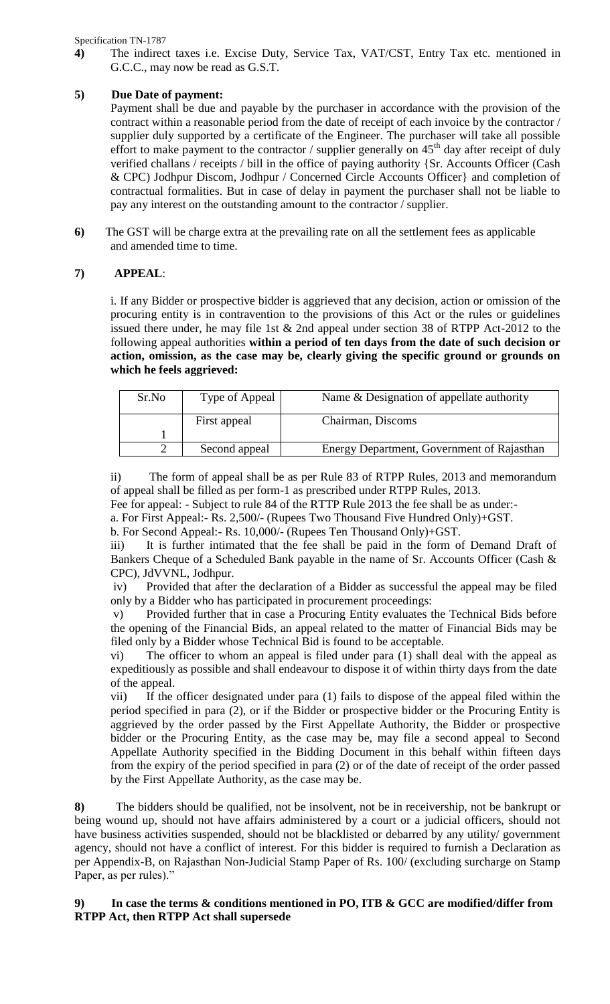Specification TN-1787

**4)** The indirect taxes i.e. Excise Duty, Service Tax, VAT/CST, Entry Tax etc. mentioned in G.C.C., may now be read as G.S.T.

# **5) Due Date of payment:**

Payment shall be due and payable by the purchaser in accordance with the provision of the contract within a reasonable period from the date of receipt of each invoice by the contractor / supplier duly supported by a certificate of the Engineer. The purchaser will take all possible effort to make payment to the contractor / supplier generally on  $45<sup>th</sup>$  day after receipt of duly verified challans / receipts / bill in the office of paying authority {Sr. Accounts Officer (Cash & CPC) Jodhpur Discom, Jodhpur / Concerned Circle Accounts Officer} and completion of contractual formalities. But in case of delay in payment the purchaser shall not be liable to pay any interest on the outstanding amount to the contractor / supplier.

**6)** The GST will be charge extra at the prevailing rate on all the settlement fees as applicable and amended time to time.

# **7) APPEAL**:

i. If any Bidder or prospective bidder is aggrieved that any decision, action or omission of the procuring entity is in contravention to the provisions of this Act or the rules or guidelines issued there under, he may file 1st & 2nd appeal under section 38 of RTPP Act-2012 to the following appeal authorities **within a period of ten days from the date of such decision or action, omission, as the case may be, clearly giving the specific ground or grounds on which he feels aggrieved:** 

| Sr.No | Type of Appeal | Name & Designation of appellate authority  |
|-------|----------------|--------------------------------------------|
|       | First appeal   | Chairman, Discoms                          |
|       |                |                                            |
|       | Second appeal  | Energy Department, Government of Rajasthan |

ii) The form of appeal shall be as per Rule 83 of RTPP Rules, 2013 and memorandum of appeal shall be filled as per form-1 as prescribed under RTPP Rules, 2013.

Fee for appeal: - Subject to rule 84 of the RTTP Rule 2013 the fee shall be as under:-

a. For First Appeal:- Rs. 2,500/- (Rupees Two Thousand Five Hundred Only)+GST.

b. For Second Appeal:- Rs. 10,000/- (Rupees Ten Thousand Only)+GST.

iii) It is further intimated that the fee shall be paid in the form of Demand Draft of Bankers Cheque of a Scheduled Bank payable in the name of Sr. Accounts Officer (Cash & CPC), JdVVNL, Jodhpur.

iv) Provided that after the declaration of a Bidder as successful the appeal may be filed only by a Bidder who has participated in procurement proceedings:

v) Provided further that in case a Procuring Entity evaluates the Technical Bids before the opening of the Financial Bids, an appeal related to the matter of Financial Bids may be filed only by a Bidder whose Technical Bid is found to be acceptable.

The officer to whom an appeal is filed under para  $(1)$  shall deal with the appeal as expeditiously as possible and shall endeavour to dispose it of within thirty days from the date of the appeal.

vii) If the officer designated under para (1) fails to dispose of the appeal filed within the period specified in para (2), or if the Bidder or prospective bidder or the Procuring Entity is aggrieved by the order passed by the First Appellate Authority, the Bidder or prospective bidder or the Procuring Entity, as the case may be, may file a second appeal to Second Appellate Authority specified in the Bidding Document in this behalf within fifteen days from the expiry of the period specified in para (2) or of the date of receipt of the order passed by the First Appellate Authority, as the case may be.

**8)** The bidders should be qualified, not be insolvent, not be in receivership, not be bankrupt or being wound up, should not have affairs administered by a court or a judicial officers, should not have business activities suspended, should not be blacklisted or debarred by any utility/ government agency, should not have a conflict of interest. For this bidder is required to furnish a Declaration as per Appendix-B, on Rajasthan Non-Judicial Stamp Paper of Rs. 100/ (excluding surcharge on Stamp Paper, as per rules)."

# In case the terms  $\&$  conditions mentioned in PO, ITB  $\&$  GCC are modified/differ from **RTPP Act, then RTPP Act shall supersede**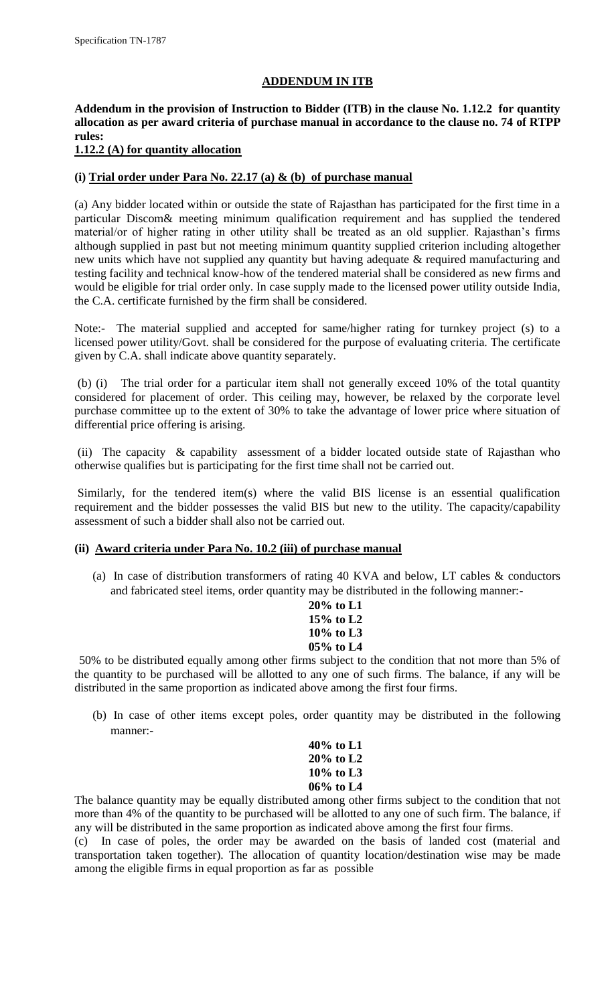#### **ADDENDUM IN ITB**

# **Addendum in the provision of Instruction to Bidder (ITB) in the clause No. 1.12.2 for quantity allocation as per award criteria of purchase manual in accordance to the clause no. 74 of RTPP rules:**

# **1.12.2 (A) for quantity allocation**

# **(i) Trial order under Para No. 22.17 (a) & (b) of purchase manual**

(a) Any bidder located within or outside the state of Rajasthan has participated for the first time in a particular Discom& meeting minimum qualification requirement and has supplied the tendered material/or of higher rating in other utility shall be treated as an old supplier. Rajasthan"s firms although supplied in past but not meeting minimum quantity supplied criterion including altogether new units which have not supplied any quantity but having adequate & required manufacturing and testing facility and technical know-how of the tendered material shall be considered as new firms and would be eligible for trial order only. In case supply made to the licensed power utility outside India, the C.A. certificate furnished by the firm shall be considered.

Note:- The material supplied and accepted for same/higher rating for turnkey project (s) to a licensed power utility/Govt. shall be considered for the purpose of evaluating criteria. The certificate given by C.A. shall indicate above quantity separately.

(b) (i) The trial order for a particular item shall not generally exceed 10% of the total quantity considered for placement of order. This ceiling may, however, be relaxed by the corporate level purchase committee up to the extent of 30% to take the advantage of lower price where situation of differential price offering is arising.

(ii) The capacity & capability assessment of a bidder located outside state of Rajasthan who otherwise qualifies but is participating for the first time shall not be carried out.

Similarly, for the tendered item(s) where the valid BIS license is an essential qualification requirement and the bidder possesses the valid BIS but new to the utility. The capacity/capability assessment of such a bidder shall also not be carried out.

#### **(ii) Award criteria under Para No. 10.2 (iii) of purchase manual**

(a) In case of distribution transformers of rating 40 KVA and below, LT cables & conductors and fabricated steel items, order quantity may be distributed in the following manner:-

| $20\%$ to L1  |  |
|---------------|--|
| 15\% to L2    |  |
| 10\% to $1.3$ |  |
| $05\%$ to L4  |  |

50% to be distributed equally among other firms subject to the condition that not more than 5% of the quantity to be purchased will be allotted to any one of such firms. The balance, if any will be distributed in the same proportion as indicated above among the first four firms.

(b) In case of other items except poles, order quantity may be distributed in the following manner:-

| 40% to L1    |  |
|--------------|--|
| 20% to L2    |  |
| $10\%$ to L3 |  |
| 06% to L4    |  |

The balance quantity may be equally distributed among other firms subject to the condition that not more than 4% of the quantity to be purchased will be allotted to any one of such firm. The balance, if any will be distributed in the same proportion as indicated above among the first four firms.

(c) In case of poles, the order may be awarded on the basis of landed cost (material and transportation taken together). The allocation of quantity location/destination wise may be made among the eligible firms in equal proportion as far as possible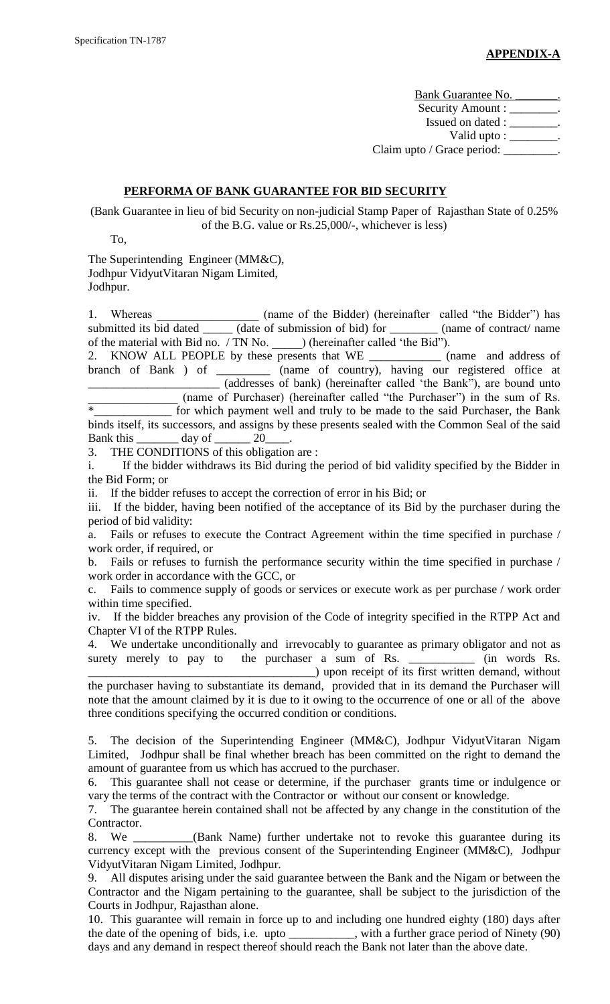Bank Guarantee No. \_\_\_\_\_\_\_\_. Security Amount : \_\_\_\_\_\_\_\_. Issued on dated : \_\_\_\_\_\_\_\_. Valid upto : \_\_\_\_\_\_\_\_. Claim upto / Grace period: \_\_\_\_\_\_\_\_\_.

#### **PERFORMA OF BANK GUARANTEE FOR BID SECURITY**

(Bank Guarantee in lieu of bid Security on non-judicial Stamp Paper of Rajasthan State of 0.25% of the B.G. value or Rs.25,000/-, whichever is less)

To,

The Superintending Engineer (MM&C), Jodhpur VidyutVitaran Nigam Limited,

Jodhpur.

1. Whereas \_\_\_\_\_\_\_\_\_\_\_\_\_\_\_\_\_\_ (name of the Bidder) (hereinafter called "the Bidder") has submitted its bid dated \_\_\_\_\_\_ (date of submission of bid) for \_\_\_\_\_\_\_\_ (name of contract/ name of the material with Bid no. / TN No. \_\_\_\_\_) (hereinafter called "the Bid").

2. KNOW ALL PEOPLE by these presents that WE \_\_\_\_\_\_\_\_\_\_\_\_ (name and address of branch of Bank ) of \_\_\_\_\_\_\_\_\_ (name of country), having our registered office at \_\_\_\_\_\_\_\_\_\_\_\_\_\_\_\_\_\_\_\_\_\_ (addresses of bank) (hereinafter called "the Bank"), are bound unto  $\frac{1}{\text{max}}$  (name of Purchaser) (hereinafter called "the Purchaser") in the sum of Rs. for which payment well and truly to be made to the said Purchaser, the Bank binds itself, its successors, and assigns by these presents sealed with the Common Seal of the said Bank this \_\_\_\_\_\_\_ day of \_\_\_\_\_\_ 20\_\_\_\_.

3. THE CONDITIONS of this obligation are :

i. If the bidder withdraws its Bid during the period of bid validity specified by the Bidder in the Bid Form; or

ii. If the bidder refuses to accept the correction of error in his Bid; or

iii. If the bidder, having been notified of the acceptance of its Bid by the purchaser during the period of bid validity:

a. Fails or refuses to execute the Contract Agreement within the time specified in purchase / work order, if required, or

b. Fails or refuses to furnish the performance security within the time specified in purchase / work order in accordance with the GCC, or

c. Fails to commence supply of goods or services or execute work as per purchase / work order within time specified.

iv. If the bidder breaches any provision of the Code of integrity specified in the RTPP Act and Chapter VI of the RTPP Rules.

4. We undertake unconditionally and irrevocably to guarantee as primary obligator and not as surety merely to pay to the purchaser a sum of Rs. \_\_\_\_\_\_\_\_\_\_\_\_ (in words Rs. \_\_\_\_\_\_\_\_\_\_\_\_\_\_\_\_\_\_\_\_\_\_\_\_\_\_\_\_\_\_\_\_\_\_\_\_\_\_) upon receipt of its first written demand, without

the purchaser having to substantiate its demand, provided that in its demand the Purchaser will note that the amount claimed by it is due to it owing to the occurrence of one or all of the above three conditions specifying the occurred condition or conditions.

5. The decision of the Superintending Engineer (MM&C), Jodhpur VidyutVitaran Nigam Limited, Jodhpur shall be final whether breach has been committed on the right to demand the amount of guarantee from us which has accrued to the purchaser.

6. This guarantee shall not cease or determine, if the purchaser grants time or indulgence or vary the terms of the contract with the Contractor or without our consent or knowledge.

7. The guarantee herein contained shall not be affected by any change in the constitution of the Contractor.

8. We \_\_\_\_\_\_\_\_\_\_(Bank Name) further undertake not to revoke this guarantee during its currency except with the previous consent of the Superintending Engineer (MM&C), Jodhpur VidyutVitaran Nigam Limited, Jodhpur.

9. All disputes arising under the said guarantee between the Bank and the Nigam or between the Contractor and the Nigam pertaining to the guarantee, shall be subject to the jurisdiction of the Courts in Jodhpur, Rajasthan alone.

10. This guarantee will remain in force up to and including one hundred eighty (180) days after the date of the opening of bids, i.e. upto \_\_\_\_\_\_\_\_\_\_\_, with a further grace period of Ninety (90) days and any demand in respect thereof should reach the Bank not later than the above date.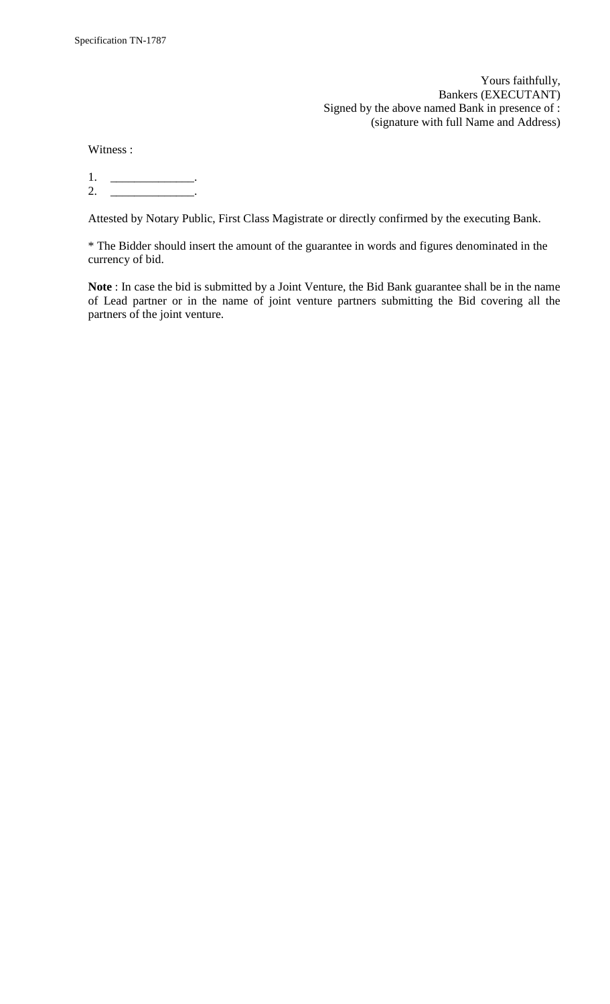Yours faithfully, Bankers (EXECUTANT) Signed by the above named Bank in presence of : (signature with full Name and Address)

Witness :

1. \_\_\_\_\_\_\_\_\_\_\_\_\_\_. 2. \_\_\_\_\_\_\_\_\_\_\_\_\_\_\_\_\_\_.

Attested by Notary Public, First Class Magistrate or directly confirmed by the executing Bank.

\* The Bidder should insert the amount of the guarantee in words and figures denominated in the currency of bid.

**Note** : In case the bid is submitted by a Joint Venture, the Bid Bank guarantee shall be in the name of Lead partner or in the name of joint venture partners submitting the Bid covering all the partners of the joint venture.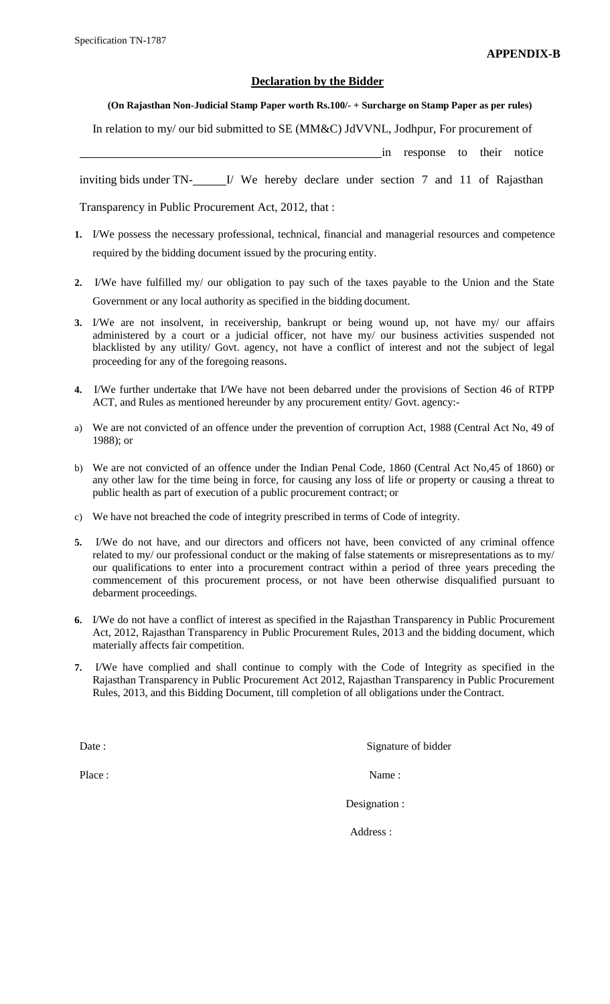#### **Declaration by the Bidder**

#### **(On Rajasthan Non-Judicial Stamp Paper worth Rs.100/- + Surcharge on Stamp Paper as per rules)**

In relation to my/ our bid submitted to SE (MM&C) JdVVNL, Jodhpur, For procurement of

in response to their notice

inviting bids under TN- I/ We hereby declare under section 7 and 11 of Rajasthan

Transparency in Public Procurement Act, 2012, that :

- **1.** I/We possess the necessary professional, technical, financial and managerial resources and competence required by the bidding document issued by the procuring entity.
- **2.** I/We have fulfilled my/ our obligation to pay such of the taxes payable to the Union and the State Government or any local authority as specified in the bidding document.
- **3.** I/We are not insolvent, in receivership, bankrupt or being wound up, not have my/ our affairs administered by a court or a judicial officer, not have my/ our business activities suspended not blacklisted by any utility/ Govt. agency, not have a conflict of interest and not the subject of legal proceeding for any of the foregoing reasons.
- **4.** I/We further undertake that I/We have not been debarred under the provisions of Section 46 of RTPP ACT, and Rules as mentioned hereunder by any procurement entity/ Govt. agency:-
- a) We are not convicted of an offence under the prevention of corruption Act, 1988 (Central Act No, 49 of 1988); or
- b) We are not convicted of an offence under the Indian Penal Code, 1860 (Central Act No,45 of 1860) or any other law for the time being in force, for causing any loss of life or property or causing a threat to public health as part of execution of a public procurement contract; or
- c) We have not breached the code of integrity prescribed in terms of Code of integrity.
- **5.** I/We do not have, and our directors and officers not have, been convicted of any criminal offence related to my/ our professional conduct or the making of false statements or misrepresentations as to my/ our qualifications to enter into a procurement contract within a period of three years preceding the commencement of this procurement process, or not have been otherwise disqualified pursuant to debarment proceedings.
- **6.** I/We do not have a conflict of interest as specified in the Rajasthan Transparency in Public Procurement Act, 2012, Rajasthan Transparency in Public Procurement Rules, 2013 and the bidding document, which materially affects fair competition.
- **7.** I/We have complied and shall continue to comply with the Code of Integrity as specified in the Rajasthan Transparency in Public Procurement Act 2012, Rajasthan Transparency in Public Procurement Rules, 2013, and this Bidding Document, till completion of all obligations under the Contract.

Date : Signature of bidder

Place : Name : Name : Name : Name : Name : Name : Name : Name : Name : Name : Name : Name : Name : Name : Name :  $\frac{1}{2}$ 

Designation :

Address :